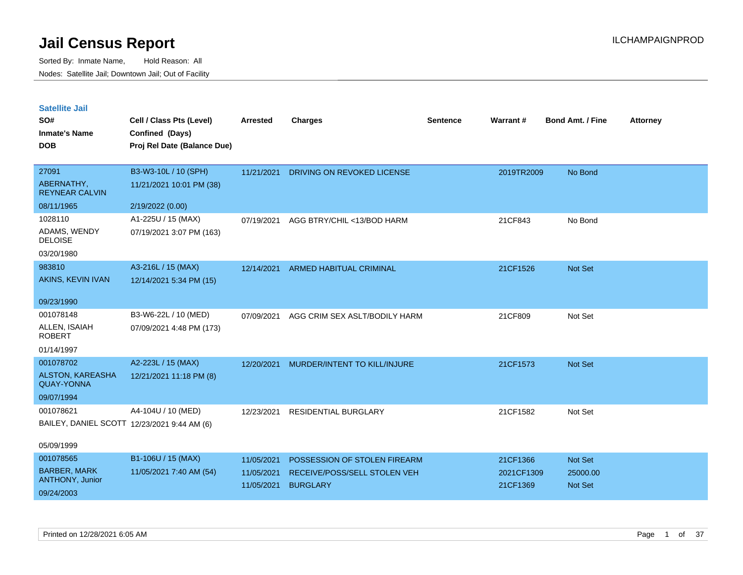| <b>Satellite Jail</b> |  |
|-----------------------|--|
|                       |  |

| SO#<br><b>Inmate's Name</b>            | Cell / Class Pts (Level)<br>Confined (Days) | Arrested   | <b>Charges</b>                 | <b>Sentence</b> | Warrant#   | <b>Bond Amt. / Fine</b> | <b>Attorney</b> |
|----------------------------------------|---------------------------------------------|------------|--------------------------------|-----------------|------------|-------------------------|-----------------|
| <b>DOB</b>                             | Proj Rel Date (Balance Due)                 |            |                                |                 |            |                         |                 |
| 27091                                  | B3-W3-10L / 10 (SPH)                        | 11/21/2021 | DRIVING ON REVOKED LICENSE     |                 | 2019TR2009 | No Bond                 |                 |
| ABERNATHY,<br><b>REYNEAR CALVIN</b>    | 11/21/2021 10:01 PM (38)                    |            |                                |                 |            |                         |                 |
| 08/11/1965                             | 2/19/2022 (0.00)                            |            |                                |                 |            |                         |                 |
| 1028110                                | A1-225U / 15 (MAX)                          | 07/19/2021 | AGG BTRY/CHIL <13/BOD HARM     |                 | 21CF843    | No Bond                 |                 |
| ADAMS, WENDY<br><b>DELOISE</b>         | 07/19/2021 3:07 PM (163)                    |            |                                |                 |            |                         |                 |
| 03/20/1980                             |                                             |            |                                |                 |            |                         |                 |
| 983810                                 | A3-216L / 15 (MAX)                          | 12/14/2021 | <b>ARMED HABITUAL CRIMINAL</b> |                 | 21CF1526   | Not Set                 |                 |
| AKINS, KEVIN IVAN                      | 12/14/2021 5:34 PM (15)                     |            |                                |                 |            |                         |                 |
| 09/23/1990                             |                                             |            |                                |                 |            |                         |                 |
| 001078148                              | B3-W6-22L / 10 (MED)                        | 07/09/2021 | AGG CRIM SEX ASLT/BODILY HARM  |                 | 21CF809    | Not Set                 |                 |
| ALLEN, ISAIAH<br><b>ROBERT</b>         | 07/09/2021 4:48 PM (173)                    |            |                                |                 |            |                         |                 |
| 01/14/1997                             |                                             |            |                                |                 |            |                         |                 |
| 001078702                              | A2-223L / 15 (MAX)                          | 12/20/2021 | MURDER/INTENT TO KILL/INJURE   |                 | 21CF1573   | Not Set                 |                 |
| ALSTON, KAREASHA<br><b>QUAY-YONNA</b>  | 12/21/2021 11:18 PM (8)                     |            |                                |                 |            |                         |                 |
| 09/07/1994                             |                                             |            |                                |                 |            |                         |                 |
| 001078621                              | A4-104U / 10 (MED)                          | 12/23/2021 | <b>RESIDENTIAL BURGLARY</b>    |                 | 21CF1582   | Not Set                 |                 |
|                                        | BAILEY, DANIEL SCOTT 12/23/2021 9:44 AM (6) |            |                                |                 |            |                         |                 |
| 05/09/1999                             |                                             |            |                                |                 |            |                         |                 |
| 001078565                              | B1-106U / 15 (MAX)                          | 11/05/2021 | POSSESSION OF STOLEN FIREARM   |                 | 21CF1366   | Not Set                 |                 |
| <b>BARBER, MARK</b><br>ANTHONY, Junior | 11/05/2021 7:40 AM (54)                     | 11/05/2021 | RECEIVE/POSS/SELL STOLEN VEH   |                 | 2021CF1309 | 25000.00                |                 |
| 09/24/2003                             |                                             | 11/05/2021 | <b>BURGLARY</b>                |                 | 21CF1369   | <b>Not Set</b>          |                 |
|                                        |                                             |            |                                |                 |            |                         |                 |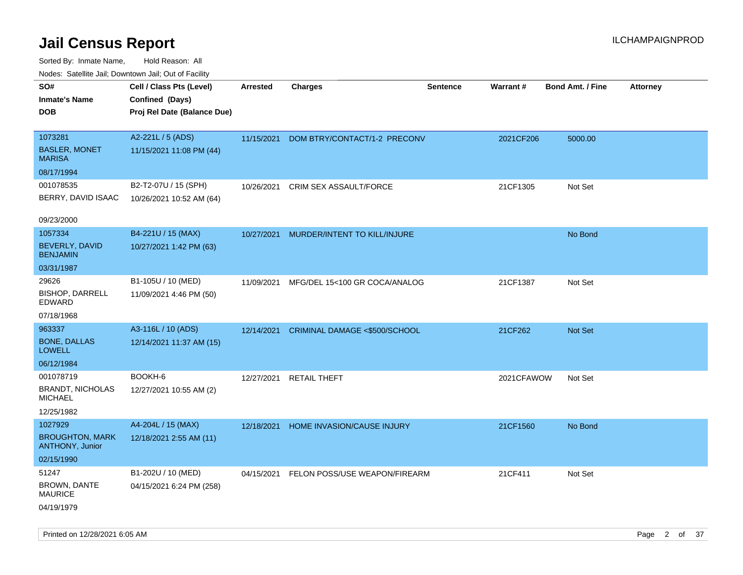Sorted By: Inmate Name, Hold Reason: All Nodes: Satellite Jail; Downtown Jail; Out of Facility

| ivouss. Satellite Jali, Downtown Jali, Out of Facility |                             |                 |                               |                 |            |                         |                 |
|--------------------------------------------------------|-----------------------------|-----------------|-------------------------------|-----------------|------------|-------------------------|-----------------|
| SO#                                                    | Cell / Class Pts (Level)    | <b>Arrested</b> | <b>Charges</b>                | <b>Sentence</b> | Warrant#   | <b>Bond Amt. / Fine</b> | <b>Attorney</b> |
| Inmate's Name                                          | Confined (Days)             |                 |                               |                 |            |                         |                 |
| <b>DOB</b>                                             | Proj Rel Date (Balance Due) |                 |                               |                 |            |                         |                 |
| 1073281                                                | A2-221L / 5 (ADS)           | 11/15/2021      | DOM BTRY/CONTACT/1-2 PRECONV  |                 | 2021CF206  | 5000.00                 |                 |
| <b>BASLER, MONET</b><br>MARISA                         | 11/15/2021 11:08 PM (44)    |                 |                               |                 |            |                         |                 |
| 08/17/1994                                             |                             |                 |                               |                 |            |                         |                 |
| 001078535                                              | B2-T2-07U / 15 (SPH)        | 10/26/2021      | <b>CRIM SEX ASSAULT/FORCE</b> |                 | 21CF1305   | Not Set                 |                 |
| BERRY, DAVID ISAAC                                     | 10/26/2021 10:52 AM (64)    |                 |                               |                 |            |                         |                 |
| 09/23/2000                                             |                             |                 |                               |                 |            |                         |                 |
| 1057334                                                | B4-221U / 15 (MAX)          | 10/27/2021      | MURDER/INTENT TO KILL/INJURE  |                 |            | No Bond                 |                 |
| BEVERLY, DAVID<br><b>BENJAMIN</b>                      | 10/27/2021 1:42 PM (63)     |                 |                               |                 |            |                         |                 |
| 03/31/1987                                             |                             |                 |                               |                 |            |                         |                 |
| 29626                                                  | B1-105U / 10 (MED)          | 11/09/2021      | MFG/DEL 15<100 GR COCA/ANALOG |                 | 21CF1387   | Not Set                 |                 |
| <b>BISHOP, DARRELL</b><br>EDWARD                       | 11/09/2021 4:46 PM (50)     |                 |                               |                 |            |                         |                 |
| 07/18/1968                                             |                             |                 |                               |                 |            |                         |                 |
| 963337                                                 | A3-116L / 10 (ADS)          | 12/14/2021      | CRIMINAL DAMAGE <\$500/SCHOOL |                 | 21CF262    | <b>Not Set</b>          |                 |
| <b>BONE, DALLAS</b><br>LOWELL                          | 12/14/2021 11:37 AM (15)    |                 |                               |                 |            |                         |                 |
| 06/12/1984                                             |                             |                 |                               |                 |            |                         |                 |
| 001078719                                              | BOOKH-6                     | 12/27/2021      | <b>RETAIL THEFT</b>           |                 | 2021CFAWOW | Not Set                 |                 |
| <b>BRANDT, NICHOLAS</b><br>MICHAEL                     | 12/27/2021 10:55 AM (2)     |                 |                               |                 |            |                         |                 |
| 12/25/1982                                             |                             |                 |                               |                 |            |                         |                 |
| 1027929                                                | A4-204L / 15 (MAX)          | 12/18/2021      | HOME INVASION/CAUSE INJURY    |                 | 21CF1560   | No Bond                 |                 |
| <b>BROUGHTON, MARK</b><br><b>ANTHONY, Junior</b>       | 12/18/2021 2:55 AM (11)     |                 |                               |                 |            |                         |                 |
| 02/15/1990                                             |                             |                 |                               |                 |            |                         |                 |
| 51247                                                  | B1-202U / 10 (MED)          | 04/15/2021      | FELON POSS/USE WEAPON/FIREARM |                 | 21CF411    | Not Set                 |                 |
| <b>BROWN, DANTE</b><br>MAURICE                         | 04/15/2021 6:24 PM (258)    |                 |                               |                 |            |                         |                 |
| 04/19/1979                                             |                             |                 |                               |                 |            |                         |                 |

Printed on 12/28/2021 6:05 AM Page 2 of 37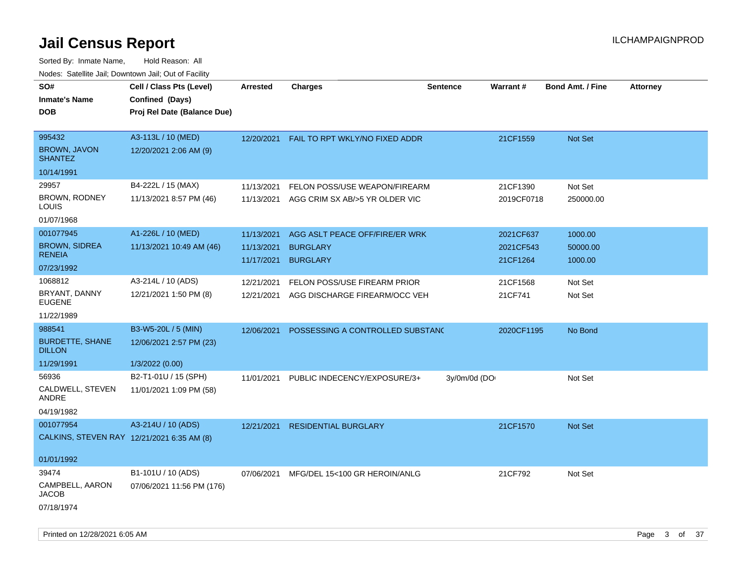Sorted By: Inmate Name, Hold Reason: All Nodes: Satellite Jail; Downtown Jail; Out of Facility

| SO#                                        | Cell / Class Pts (Level)    | <b>Arrested</b> | <b>Charges</b>                            | <b>Sentence</b> | <b>Warrant#</b> | <b>Bond Amt. / Fine</b> | <b>Attorney</b> |
|--------------------------------------------|-----------------------------|-----------------|-------------------------------------------|-----------------|-----------------|-------------------------|-----------------|
| <b>Inmate's Name</b>                       | Confined (Days)             |                 |                                           |                 |                 |                         |                 |
| <b>DOB</b>                                 | Proj Rel Date (Balance Due) |                 |                                           |                 |                 |                         |                 |
| 995432                                     | A3-113L / 10 (MED)          |                 | 12/20/2021 FAIL TO RPT WKLY/NO FIXED ADDR |                 | 21CF1559        | <b>Not Set</b>          |                 |
| <b>BROWN, JAVON</b><br><b>SHANTEZ</b>      | 12/20/2021 2:06 AM (9)      |                 |                                           |                 |                 |                         |                 |
| 10/14/1991                                 |                             |                 |                                           |                 |                 |                         |                 |
| 29957                                      | B4-222L / 15 (MAX)          | 11/13/2021      | FELON POSS/USE WEAPON/FIREARM             |                 | 21CF1390        | Not Set                 |                 |
| BROWN, RODNEY<br>LOUIS                     | 11/13/2021 8:57 PM (46)     |                 | 11/13/2021 AGG CRIM SX AB/>5 YR OLDER VIC |                 | 2019CF0718      | 250000.00               |                 |
| 01/07/1968                                 |                             |                 |                                           |                 |                 |                         |                 |
| 001077945                                  | A1-226L / 10 (MED)          | 11/13/2021      | AGG ASLT PEACE OFF/FIRE/ER WRK            |                 | 2021CF637       | 1000.00                 |                 |
| <b>BROWN, SIDREA</b>                       | 11/13/2021 10:49 AM (46)    | 11/13/2021      | <b>BURGLARY</b>                           |                 | 2021CF543       | 50000.00                |                 |
| <b>RENEIA</b>                              |                             |                 | 11/17/2021 BURGLARY                       |                 | 21CF1264        | 1000.00                 |                 |
| 07/23/1992                                 |                             |                 |                                           |                 |                 |                         |                 |
| 1068812                                    | A3-214L / 10 (ADS)          | 12/21/2021      | FELON POSS/USE FIREARM PRIOR              |                 | 21CF1568        | Not Set                 |                 |
| BRYANT, DANNY<br><b>EUGENE</b>             | 12/21/2021 1:50 PM (8)      |                 | 12/21/2021 AGG DISCHARGE FIREARM/OCC VEH  |                 | 21CF741         | Not Set                 |                 |
| 11/22/1989                                 |                             |                 |                                           |                 |                 |                         |                 |
| 988541                                     | B3-W5-20L / 5 (MIN)         | 12/06/2021      | POSSESSING A CONTROLLED SUBSTANC          |                 | 2020CF1195      | No Bond                 |                 |
| <b>BURDETTE, SHANE</b><br><b>DILLON</b>    | 12/06/2021 2:57 PM (23)     |                 |                                           |                 |                 |                         |                 |
| 11/29/1991                                 | 1/3/2022 (0.00)             |                 |                                           |                 |                 |                         |                 |
| 56936                                      | B2-T1-01U / 15 (SPH)        | 11/01/2021      | PUBLIC INDECENCY/EXPOSURE/3+              | 3y/0m/0d (DO    |                 | Not Set                 |                 |
| CALDWELL, STEVEN<br>ANDRE                  | 11/01/2021 1:09 PM (58)     |                 |                                           |                 |                 |                         |                 |
| 04/19/1982                                 |                             |                 |                                           |                 |                 |                         |                 |
| 001077954                                  | A3-214U / 10 (ADS)          | 12/21/2021      | <b>RESIDENTIAL BURGLARY</b>               |                 | 21CF1570        | Not Set                 |                 |
| CALKINS, STEVEN RAY 12/21/2021 6:35 AM (8) |                             |                 |                                           |                 |                 |                         |                 |
| 01/01/1992                                 |                             |                 |                                           |                 |                 |                         |                 |
| 39474                                      | B1-101U / 10 (ADS)          | 07/06/2021      | MFG/DEL 15<100 GR HEROIN/ANLG             |                 | 21CF792         | Not Set                 |                 |
| CAMPBELL, AARON<br><b>JACOB</b>            | 07/06/2021 11:56 PM (176)   |                 |                                           |                 |                 |                         |                 |
| 07/18/1974                                 |                             |                 |                                           |                 |                 |                         |                 |

Printed on 12/28/2021 6:05 AM **Page 3 of 37**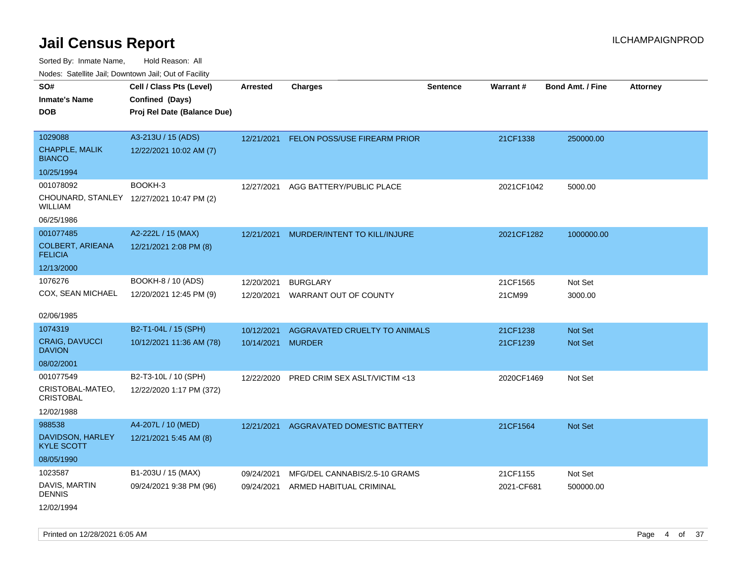| Nodes. Satellite Jali, Downtown Jali, Out of Facility |                                           |            |                                         |                 |            |                         |                 |
|-------------------------------------------------------|-------------------------------------------|------------|-----------------------------------------|-----------------|------------|-------------------------|-----------------|
| SO#                                                   | Cell / Class Pts (Level)                  | Arrested   | <b>Charges</b>                          | <b>Sentence</b> | Warrant#   | <b>Bond Amt. / Fine</b> | <b>Attorney</b> |
| <b>Inmate's Name</b>                                  | Confined (Days)                           |            |                                         |                 |            |                         |                 |
| <b>DOB</b>                                            | Proj Rel Date (Balance Due)               |            |                                         |                 |            |                         |                 |
|                                                       |                                           |            |                                         |                 |            |                         |                 |
| 1029088                                               | A3-213U / 15 (ADS)                        | 12/21/2021 | <b>FELON POSS/USE FIREARM PRIOR</b>     |                 | 21CF1338   | 250000.00               |                 |
| CHAPPLE, MALIK<br><b>BIANCO</b>                       | 12/22/2021 10:02 AM (7)                   |            |                                         |                 |            |                         |                 |
| 10/25/1994                                            |                                           |            |                                         |                 |            |                         |                 |
| 001078092                                             | BOOKH-3                                   | 12/27/2021 | AGG BATTERY/PUBLIC PLACE                |                 | 2021CF1042 | 5000.00                 |                 |
| WILLIAM                                               | CHOUNARD, STANLEY 12/27/2021 10:47 PM (2) |            |                                         |                 |            |                         |                 |
| 06/25/1986                                            |                                           |            |                                         |                 |            |                         |                 |
| 001077485                                             | A2-222L / 15 (MAX)                        | 12/21/2021 | MURDER/INTENT TO KILL/INJURE            |                 | 2021CF1282 | 1000000.00              |                 |
| <b>COLBERT, ARIEANA</b><br><b>FELICIA</b>             | 12/21/2021 2:08 PM (8)                    |            |                                         |                 |            |                         |                 |
| 12/13/2000                                            |                                           |            |                                         |                 |            |                         |                 |
| 1076276                                               | BOOKH-8 / 10 (ADS)                        | 12/20/2021 | <b>BURGLARY</b>                         |                 | 21CF1565   | Not Set                 |                 |
| COX, SEAN MICHAEL                                     | 12/20/2021 12:45 PM (9)                   | 12/20/2021 | WARRANT OUT OF COUNTY                   |                 | 21CM99     | 3000.00                 |                 |
|                                                       |                                           |            |                                         |                 |            |                         |                 |
| 02/06/1985                                            |                                           |            |                                         |                 |            |                         |                 |
| 1074319                                               | B2-T1-04L / 15 (SPH)                      | 10/12/2021 | AGGRAVATED CRUELTY TO ANIMALS           |                 | 21CF1238   | <b>Not Set</b>          |                 |
| <b>CRAIG, DAVUCCI</b><br><b>DAVION</b>                | 10/12/2021 11:36 AM (78)                  | 10/14/2021 | <b>MURDER</b>                           |                 | 21CF1239   | <b>Not Set</b>          |                 |
| 08/02/2001                                            |                                           |            |                                         |                 |            |                         |                 |
| 001077549                                             | B2-T3-10L / 10 (SPH)                      | 12/22/2020 | <b>PRED CRIM SEX ASLT/VICTIM &lt;13</b> |                 | 2020CF1469 | Not Set                 |                 |
| CRISTOBAL-MATEO,<br><b>CRISTOBAL</b>                  | 12/22/2020 1:17 PM (372)                  |            |                                         |                 |            |                         |                 |
| 12/02/1988                                            |                                           |            |                                         |                 |            |                         |                 |
| 988538                                                | A4-207L / 10 (MED)                        | 12/21/2021 | <b>AGGRAVATED DOMESTIC BATTERY</b>      |                 | 21CF1564   | Not Set                 |                 |
| DAVIDSON, HARLEY<br><b>KYLE SCOTT</b>                 | 12/21/2021 5:45 AM (8)                    |            |                                         |                 |            |                         |                 |
| 08/05/1990                                            |                                           |            |                                         |                 |            |                         |                 |
| 1023587                                               | B1-203U / 15 (MAX)                        | 09/24/2021 | MFG/DEL CANNABIS/2.5-10 GRAMS           |                 | 21CF1155   | Not Set                 |                 |
| DAVIS, MARTIN<br><b>DENNIS</b>                        | 09/24/2021 9:38 PM (96)                   | 09/24/2021 | ARMED HABITUAL CRIMINAL                 |                 | 2021-CF681 | 500000.00               |                 |
| 12/02/1994                                            |                                           |            |                                         |                 |            |                         |                 |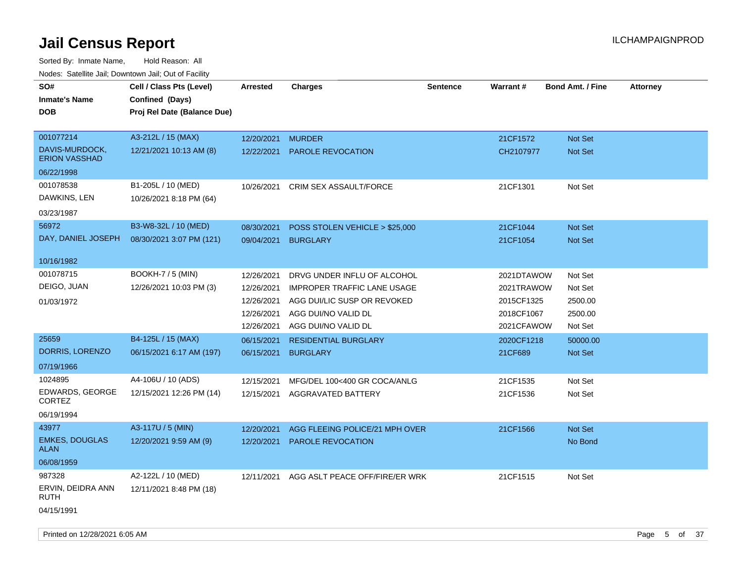| roacs. Catellite Jall, Downtown Jall, Out of Facility |                             |                 |                                    |                 |            |                         |                 |
|-------------------------------------------------------|-----------------------------|-----------------|------------------------------------|-----------------|------------|-------------------------|-----------------|
| SO#                                                   | Cell / Class Pts (Level)    | <b>Arrested</b> | <b>Charges</b>                     | <b>Sentence</b> | Warrant#   | <b>Bond Amt. / Fine</b> | <b>Attorney</b> |
| <b>Inmate's Name</b>                                  | Confined (Days)             |                 |                                    |                 |            |                         |                 |
| <b>DOB</b>                                            | Proj Rel Date (Balance Due) |                 |                                    |                 |            |                         |                 |
|                                                       |                             |                 |                                    |                 |            |                         |                 |
| 001077214                                             | A3-212L / 15 (MAX)          | 12/20/2021      | <b>MURDER</b>                      |                 | 21CF1572   | <b>Not Set</b>          |                 |
| DAVIS-MURDOCK,<br><b>ERION VASSHAD</b>                | 12/21/2021 10:13 AM (8)     |                 | 12/22/2021 PAROLE REVOCATION       |                 | CH2107977  | Not Set                 |                 |
| 06/22/1998                                            |                             |                 |                                    |                 |            |                         |                 |
| 001078538                                             | B1-205L / 10 (MED)          | 10/26/2021      | <b>CRIM SEX ASSAULT/FORCE</b>      |                 | 21CF1301   | Not Set                 |                 |
| DAWKINS, LEN                                          | 10/26/2021 8:18 PM (64)     |                 |                                    |                 |            |                         |                 |
| 03/23/1987                                            |                             |                 |                                    |                 |            |                         |                 |
| 56972                                                 | B3-W8-32L / 10 (MED)        | 08/30/2021      | POSS STOLEN VEHICLE > \$25,000     |                 | 21CF1044   | <b>Not Set</b>          |                 |
| DAY, DANIEL JOSEPH                                    | 08/30/2021 3:07 PM (121)    | 09/04/2021      | <b>BURGLARY</b>                    |                 | 21CF1054   | <b>Not Set</b>          |                 |
|                                                       |                             |                 |                                    |                 |            |                         |                 |
| 10/16/1982                                            |                             |                 |                                    |                 |            |                         |                 |
| 001078715                                             | <b>BOOKH-7 / 5 (MIN)</b>    | 12/26/2021      | DRVG UNDER INFLU OF ALCOHOL        |                 | 2021DTAWOW | Not Set                 |                 |
| DEIGO, JUAN                                           | 12/26/2021 10:03 PM (3)     | 12/26/2021      | <b>IMPROPER TRAFFIC LANE USAGE</b> |                 | 2021TRAWOW | Not Set                 |                 |
| 01/03/1972                                            |                             | 12/26/2021      | AGG DUI/LIC SUSP OR REVOKED        |                 | 2015CF1325 | 2500.00                 |                 |
|                                                       |                             | 12/26/2021      | AGG DUI/NO VALID DL                |                 | 2018CF1067 | 2500.00                 |                 |
|                                                       |                             | 12/26/2021      | AGG DUI/NO VALID DL                |                 | 2021CFAWOW | Not Set                 |                 |
| 25659                                                 | B4-125L / 15 (MAX)          | 06/15/2021      | <b>RESIDENTIAL BURGLARY</b>        |                 | 2020CF1218 | 50000.00                |                 |
| DORRIS, LORENZO                                       | 06/15/2021 6:17 AM (197)    | 06/15/2021      | <b>BURGLARY</b>                    |                 | 21CF689    | Not Set                 |                 |
| 07/19/1966                                            |                             |                 |                                    |                 |            |                         |                 |
| 1024895                                               | A4-106U / 10 (ADS)          | 12/15/2021      | MFG/DEL 100<400 GR COCA/ANLG       |                 | 21CF1535   | Not Set                 |                 |
| EDWARDS, GEORGE                                       | 12/15/2021 12:26 PM (14)    | 12/15/2021      | AGGRAVATED BATTERY                 |                 | 21CF1536   | Not Set                 |                 |
| <b>CORTEZ</b>                                         |                             |                 |                                    |                 |            |                         |                 |
| 06/19/1994                                            |                             |                 |                                    |                 |            |                         |                 |
| 43977                                                 | A3-117U / 5 (MIN)           | 12/20/2021      | AGG FLEEING POLICE/21 MPH OVER     |                 | 21CF1566   | Not Set                 |                 |
| <b>EMKES, DOUGLAS</b><br><b>ALAN</b>                  | 12/20/2021 9:59 AM (9)      |                 | 12/20/2021 PAROLE REVOCATION       |                 |            | No Bond                 |                 |
| 06/08/1959                                            |                             |                 |                                    |                 |            |                         |                 |
| 987328                                                | A2-122L / 10 (MED)          | 12/11/2021      | AGG ASLT PEACE OFF/FIRE/ER WRK     |                 | 21CF1515   | Not Set                 |                 |
| ERVIN, DEIDRA ANN<br><b>RUTH</b>                      | 12/11/2021 8:48 PM (18)     |                 |                                    |                 |            |                         |                 |
| 04/15/1991                                            |                             |                 |                                    |                 |            |                         |                 |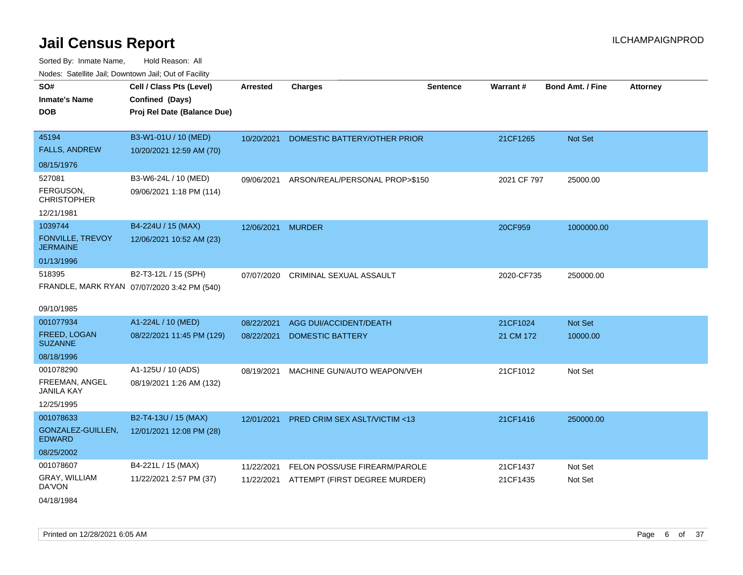| 10000. Catolino can, Domntonn can, Cat or I doint |                                             |                 |                                         |                 |             |                         |                 |
|---------------------------------------------------|---------------------------------------------|-----------------|-----------------------------------------|-----------------|-------------|-------------------------|-----------------|
| SO#                                               | Cell / Class Pts (Level)                    | <b>Arrested</b> | <b>Charges</b>                          | <b>Sentence</b> | Warrant#    | <b>Bond Amt. / Fine</b> | <b>Attorney</b> |
| Inmate's Name                                     | Confined (Days)                             |                 |                                         |                 |             |                         |                 |
| DOB                                               | Proj Rel Date (Balance Due)                 |                 |                                         |                 |             |                         |                 |
|                                                   |                                             |                 |                                         |                 |             |                         |                 |
| 45194                                             | B3-W1-01U / 10 (MED)                        | 10/20/2021      | DOMESTIC BATTERY/OTHER PRIOR            |                 | 21CF1265    | <b>Not Set</b>          |                 |
| <b>FALLS, ANDREW</b>                              | 10/20/2021 12:59 AM (70)                    |                 |                                         |                 |             |                         |                 |
| 08/15/1976                                        |                                             |                 |                                         |                 |             |                         |                 |
| 527081                                            | B3-W6-24L / 10 (MED)                        | 09/06/2021      | ARSON/REAL/PERSONAL PROP>\$150          |                 | 2021 CF 797 | 25000.00                |                 |
| FERGUSON.<br>CHRISTOPHER                          | 09/06/2021 1:18 PM (114)                    |                 |                                         |                 |             |                         |                 |
| 12/21/1981                                        |                                             |                 |                                         |                 |             |                         |                 |
| 1039744                                           | B4-224U / 15 (MAX)                          | 12/06/2021      | <b>MURDER</b>                           |                 | 20CF959     | 1000000.00              |                 |
| <b>FONVILLE, TREVOY</b><br><b>JERMAINE</b>        | 12/06/2021 10:52 AM (23)                    |                 |                                         |                 |             |                         |                 |
| 01/13/1996                                        |                                             |                 |                                         |                 |             |                         |                 |
| 518395                                            | B2-T3-12L / 15 (SPH)                        | 07/07/2020      | <b>CRIMINAL SEXUAL ASSAULT</b>          |                 | 2020-CF735  | 250000.00               |                 |
|                                                   | FRANDLE, MARK RYAN 07/07/2020 3:42 PM (540) |                 |                                         |                 |             |                         |                 |
| 09/10/1985                                        |                                             |                 |                                         |                 |             |                         |                 |
| 001077934                                         | A1-224L / 10 (MED)                          | 08/22/2021      | AGG DUI/ACCIDENT/DEATH                  |                 | 21CF1024    | <b>Not Set</b>          |                 |
| FREED, LOGAN<br><b>SUZANNE</b>                    | 08/22/2021 11:45 PM (129)                   | 08/22/2021      | <b>DOMESTIC BATTERY</b>                 |                 | 21 CM 172   | 10000.00                |                 |
| 08/18/1996                                        |                                             |                 |                                         |                 |             |                         |                 |
| 001078290                                         | A1-125U / 10 (ADS)                          | 08/19/2021      | MACHINE GUN/AUTO WEAPON/VEH             |                 | 21CF1012    | Not Set                 |                 |
| FREEMAN, ANGEL<br>JANILA KAY                      | 08/19/2021 1:26 AM (132)                    |                 |                                         |                 |             |                         |                 |
| 12/25/1995                                        |                                             |                 |                                         |                 |             |                         |                 |
| 001078633                                         | B2-T4-13U / 15 (MAX)                        | 12/01/2021      | <b>PRED CRIM SEX ASLT/VICTIM &lt;13</b> |                 | 21CF1416    | 250000.00               |                 |
| GONZALEZ-GUILLEN,<br><b>EDWARD</b>                | 12/01/2021 12:08 PM (28)                    |                 |                                         |                 |             |                         |                 |
| 08/25/2002                                        |                                             |                 |                                         |                 |             |                         |                 |
| 001078607                                         | B4-221L / 15 (MAX)                          | 11/22/2021      | FELON POSS/USE FIREARM/PAROLE           |                 | 21CF1437    | Not Set                 |                 |
| <b>GRAY, WILLIAM</b><br>DA'VON                    | 11/22/2021 2:57 PM (37)                     | 11/22/2021      | ATTEMPT (FIRST DEGREE MURDER)           |                 | 21CF1435    | Not Set                 |                 |
| 04/18/1984                                        |                                             |                 |                                         |                 |             |                         |                 |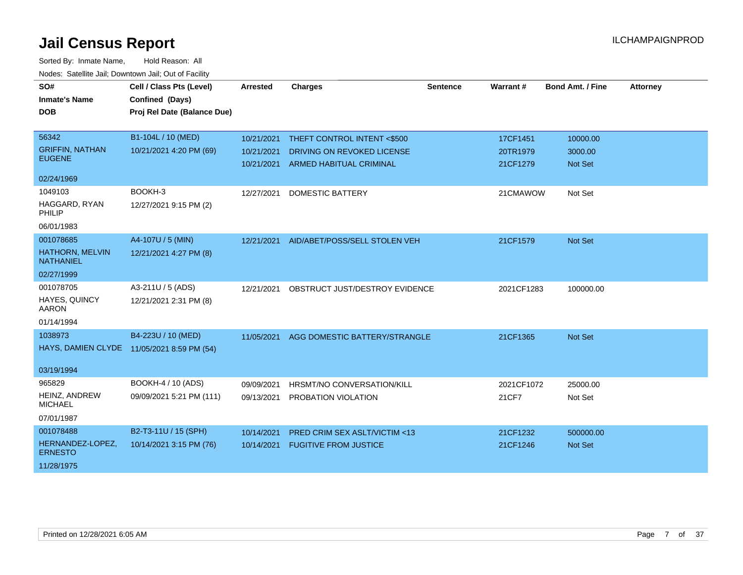| SO#<br><b>Inmate's Name</b><br><b>DOB</b>  | Cell / Class Pts (Level)<br>Confined (Days)<br>Proj Rel Date (Balance Due) | <b>Arrested</b> | <b>Charges</b>                 | <b>Sentence</b> | Warrant#   | <b>Bond Amt. / Fine</b> | <b>Attorney</b> |
|--------------------------------------------|----------------------------------------------------------------------------|-----------------|--------------------------------|-----------------|------------|-------------------------|-----------------|
| 56342                                      | B1-104L / 10 (MED)                                                         | 10/21/2021      | THEFT CONTROL INTENT <\$500    |                 | 17CF1451   | 10000.00                |                 |
| <b>GRIFFIN, NATHAN</b>                     | 10/21/2021 4:20 PM (69)                                                    | 10/21/2021      | DRIVING ON REVOKED LICENSE     |                 | 20TR1979   | 3000.00                 |                 |
| <b>EUGENE</b>                              |                                                                            | 10/21/2021      | ARMED HABITUAL CRIMINAL        |                 | 21CF1279   | Not Set                 |                 |
| 02/24/1969                                 |                                                                            |                 |                                |                 |            |                         |                 |
| 1049103                                    | BOOKH-3                                                                    | 12/27/2021      | <b>DOMESTIC BATTERY</b>        |                 | 21CMAWOW   | Not Set                 |                 |
| HAGGARD, RYAN<br>PHILIP                    | 12/27/2021 9:15 PM (2)                                                     |                 |                                |                 |            |                         |                 |
| 06/01/1983                                 |                                                                            |                 |                                |                 |            |                         |                 |
| 001078685                                  | A4-107U / 5 (MIN)                                                          | 12/21/2021      | AID/ABET/POSS/SELL STOLEN VEH  |                 | 21CF1579   | Not Set                 |                 |
| <b>HATHORN, MELVIN</b><br><b>NATHANIEL</b> | 12/21/2021 4:27 PM (8)                                                     |                 |                                |                 |            |                         |                 |
| 02/27/1999                                 |                                                                            |                 |                                |                 |            |                         |                 |
| 001078705                                  | A3-211U / 5 (ADS)                                                          | 12/21/2021      | OBSTRUCT JUST/DESTROY EVIDENCE |                 | 2021CF1283 | 100000.00               |                 |
| HAYES, QUINCY<br><b>AARON</b>              | 12/21/2021 2:31 PM (8)                                                     |                 |                                |                 |            |                         |                 |
| 01/14/1994                                 |                                                                            |                 |                                |                 |            |                         |                 |
| 1038973                                    | B4-223U / 10 (MED)                                                         | 11/05/2021      | AGG DOMESTIC BATTERY/STRANGLE  |                 | 21CF1365   | Not Set                 |                 |
|                                            | HAYS, DAMIEN CLYDE 11/05/2021 8:59 PM (54)                                 |                 |                                |                 |            |                         |                 |
| 03/19/1994                                 |                                                                            |                 |                                |                 |            |                         |                 |
| 965829                                     | BOOKH-4 / 10 (ADS)                                                         | 09/09/2021      | HRSMT/NO CONVERSATION/KILL     |                 | 2021CF1072 | 25000.00                |                 |
| HEINZ, ANDREW<br><b>MICHAEL</b>            | 09/09/2021 5:21 PM (111)                                                   | 09/13/2021      | PROBATION VIOLATION            |                 | 21CF7      | Not Set                 |                 |
| 07/01/1987                                 |                                                                            |                 |                                |                 |            |                         |                 |
| 001078488                                  | B2-T3-11U / 15 (SPH)                                                       | 10/14/2021      | PRED CRIM SEX ASLT/VICTIM <13  |                 | 21CF1232   | 500000.00               |                 |
| HERNANDEZ-LOPEZ,<br><b>ERNESTO</b>         | 10/14/2021 3:15 PM (76)                                                    | 10/14/2021      | <b>FUGITIVE FROM JUSTICE</b>   |                 | 21CF1246   | <b>Not Set</b>          |                 |
| 11/28/1975                                 |                                                                            |                 |                                |                 |            |                         |                 |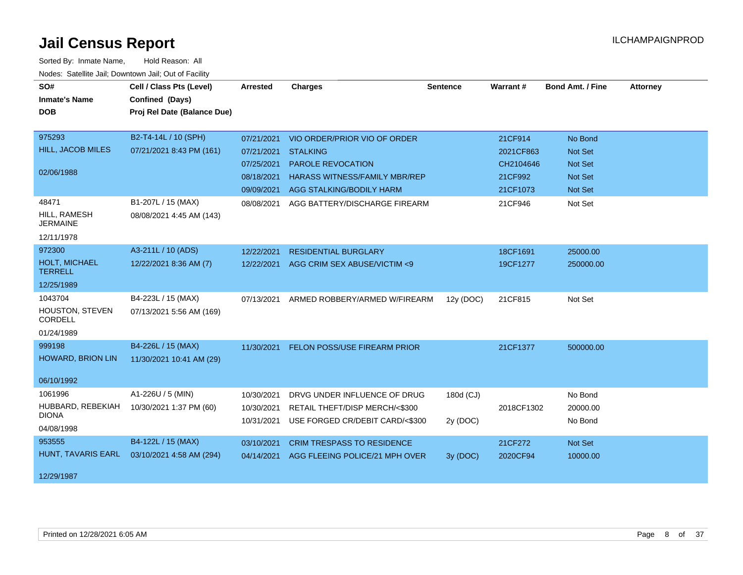| SO#<br><b>Inmate's Name</b><br><b>DOB</b>                      | Cell / Class Pts (Level)<br>Confined (Days)<br>Proj Rel Date (Balance Due) | Arrested                                                           | <b>Charges</b>                                                                                                                                  | <b>Sentence</b>       | Warrant#                                                 | <b>Bond Amt. / Fine</b>                                           | <b>Attorney</b> |
|----------------------------------------------------------------|----------------------------------------------------------------------------|--------------------------------------------------------------------|-------------------------------------------------------------------------------------------------------------------------------------------------|-----------------------|----------------------------------------------------------|-------------------------------------------------------------------|-----------------|
| 975293<br><b>HILL, JACOB MILES</b><br>02/06/1988               | B2-T4-14L / 10 (SPH)<br>07/21/2021 8:43 PM (161)                           | 07/21/2021<br>07/21/2021<br>07/25/2021<br>08/18/2021<br>09/09/2021 | VIO ORDER/PRIOR VIO OF ORDER<br><b>STALKING</b><br><b>PAROLE REVOCATION</b><br><b>HARASS WITNESS/FAMILY MBR/REP</b><br>AGG STALKING/BODILY HARM |                       | 21CF914<br>2021CF863<br>CH2104646<br>21CF992<br>21CF1073 | No Bond<br>Not Set<br><b>Not Set</b><br><b>Not Set</b><br>Not Set |                 |
| 48471<br>HILL, RAMESH<br><b>JERMAINE</b><br>12/11/1978         | B1-207L / 15 (MAX)<br>08/08/2021 4:45 AM (143)                             | 08/08/2021                                                         | AGG BATTERY/DISCHARGE FIREARM                                                                                                                   |                       | 21CF946                                                  | Not Set                                                           |                 |
| 972300<br><b>HOLT, MICHAEL</b><br><b>TERRELL</b><br>12/25/1989 | A3-211L / 10 (ADS)<br>12/22/2021 8:36 AM (7)                               | 12/22/2021<br>12/22/2021                                           | <b>RESIDENTIAL BURGLARY</b><br>AGG CRIM SEX ABUSE/VICTIM <9                                                                                     |                       | 18CF1691<br>19CF1277                                     | 25000.00<br>250000.00                                             |                 |
| 1043704<br>HOUSTON, STEVEN<br>CORDELL<br>01/24/1989            | B4-223L / 15 (MAX)<br>07/13/2021 5:56 AM (169)                             | 07/13/2021                                                         | ARMED ROBBERY/ARMED W/FIREARM                                                                                                                   | 12y (DOC)             | 21CF815                                                  | Not Set                                                           |                 |
| 999198<br><b>HOWARD, BRION LIN</b><br>06/10/1992               | B4-226L / 15 (MAX)<br>11/30/2021 10:41 AM (29)                             | 11/30/2021                                                         | FELON POSS/USE FIREARM PRIOR                                                                                                                    |                       | 21CF1377                                                 | 500000.00                                                         |                 |
| 1061996<br>HUBBARD, REBEKIAH<br><b>DIONA</b><br>04/08/1998     | A1-226U / 5 (MIN)<br>10/30/2021 1:37 PM (60)                               | 10/30/2021<br>10/30/2021<br>10/31/2021                             | DRVG UNDER INFLUENCE OF DRUG<br>RETAIL THEFT/DISP MERCH/<\$300<br>USE FORGED CR/DEBIT CARD/<\$300                                               | 180d (CJ)<br>2y (DOC) | 2018CF1302                                               | No Bond<br>20000.00<br>No Bond                                    |                 |
| 953555<br>HUNT, TAVARIS EARL<br>12/29/1987                     | B4-122L / 15 (MAX)<br>03/10/2021 4:58 AM (294)                             | 03/10/2021<br>04/14/2021                                           | <b>CRIM TRESPASS TO RESIDENCE</b><br>AGG FLEEING POLICE/21 MPH OVER                                                                             | 3y (DOC)              | 21CF272<br>2020CF94                                      | Not Set<br>10000.00                                               |                 |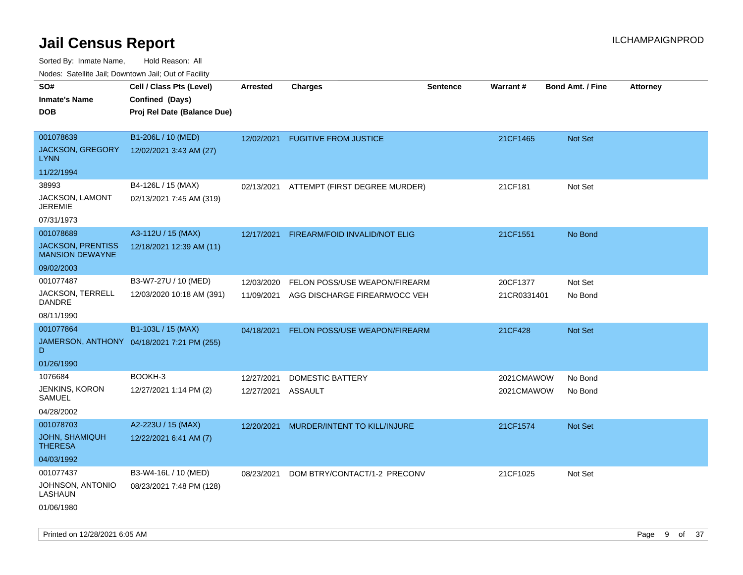Sorted By: Inmate Name, Hold Reason: All

Nodes: Satellite Jail; Downtown Jail; Out of Facility

| roaco. Catolino dall, Downtown dall, Out of Fability |                                            |                    |                               |                 |                 |                         |                 |
|------------------------------------------------------|--------------------------------------------|--------------------|-------------------------------|-----------------|-----------------|-------------------------|-----------------|
| SO#                                                  | Cell / Class Pts (Level)                   | <b>Arrested</b>    | <b>Charges</b>                | <b>Sentence</b> | <b>Warrant#</b> | <b>Bond Amt. / Fine</b> | <b>Attorney</b> |
| <b>Inmate's Name</b>                                 | Confined (Days)                            |                    |                               |                 |                 |                         |                 |
| <b>DOB</b>                                           | Proj Rel Date (Balance Due)                |                    |                               |                 |                 |                         |                 |
|                                                      |                                            |                    |                               |                 |                 |                         |                 |
| 001078639                                            | B1-206L / 10 (MED)                         | 12/02/2021         | <b>FUGITIVE FROM JUSTICE</b>  |                 | 21CF1465        | Not Set                 |                 |
| <b>JACKSON, GREGORY</b><br><b>LYNN</b>               | 12/02/2021 3:43 AM (27)                    |                    |                               |                 |                 |                         |                 |
| 11/22/1994                                           |                                            |                    |                               |                 |                 |                         |                 |
| 38993                                                | B4-126L / 15 (MAX)                         | 02/13/2021         | ATTEMPT (FIRST DEGREE MURDER) |                 | 21CF181         | Not Set                 |                 |
| JACKSON, LAMONT<br><b>JEREMIE</b>                    | 02/13/2021 7:45 AM (319)                   |                    |                               |                 |                 |                         |                 |
| 07/31/1973                                           |                                            |                    |                               |                 |                 |                         |                 |
| 001078689                                            | A3-112U / 15 (MAX)                         | 12/17/2021         | FIREARM/FOID INVALID/NOT ELIG |                 | 21CF1551        | No Bond                 |                 |
| <b>JACKSON, PRENTISS</b><br><b>MANSION DEWAYNE</b>   | 12/18/2021 12:39 AM (11)                   |                    |                               |                 |                 |                         |                 |
| 09/02/2003                                           |                                            |                    |                               |                 |                 |                         |                 |
| 001077487                                            | B3-W7-27U / 10 (MED)                       | 12/03/2020         | FELON POSS/USE WEAPON/FIREARM |                 | 20CF1377        | Not Set                 |                 |
| JACKSON, TERRELL<br>DANDRE                           | 12/03/2020 10:18 AM (391)                  | 11/09/2021         | AGG DISCHARGE FIREARM/OCC VEH |                 | 21CR0331401     | No Bond                 |                 |
| 08/11/1990                                           |                                            |                    |                               |                 |                 |                         |                 |
| 001077864                                            | B1-103L / 15 (MAX)                         | 04/18/2021         | FELON POSS/USE WEAPON/FIREARM |                 | 21CF428         | Not Set                 |                 |
| D                                                    | JAMERSON, ANTHONY 04/18/2021 7:21 PM (255) |                    |                               |                 |                 |                         |                 |
| 01/26/1990                                           |                                            |                    |                               |                 |                 |                         |                 |
| 1076684                                              | BOOKH-3                                    | 12/27/2021         | DOMESTIC BATTERY              |                 | 2021CMAWOW      | No Bond                 |                 |
| <b>JENKINS, KORON</b><br>SAMUEL                      | 12/27/2021 1:14 PM (2)                     | 12/27/2021 ASSAULT |                               |                 | 2021CMAWOW      | No Bond                 |                 |
| 04/28/2002                                           |                                            |                    |                               |                 |                 |                         |                 |
| 001078703                                            | A2-223U / 15 (MAX)                         | 12/20/2021         | MURDER/INTENT TO KILL/INJURE  |                 | 21CF1574        | <b>Not Set</b>          |                 |
| <b>JOHN, SHAMIQUH</b><br><b>THERESA</b>              | 12/22/2021 6:41 AM (7)                     |                    |                               |                 |                 |                         |                 |
| 04/03/1992                                           |                                            |                    |                               |                 |                 |                         |                 |
| 001077437                                            | B3-W4-16L / 10 (MED)                       | 08/23/2021         | DOM BTRY/CONTACT/1-2 PRECONV  |                 | 21CF1025        | Not Set                 |                 |
| JOHNSON, ANTONIO<br>LASHAUN                          | 08/23/2021 7:48 PM (128)                   |                    |                               |                 |                 |                         |                 |
| 01/06/1980                                           |                                            |                    |                               |                 |                 |                         |                 |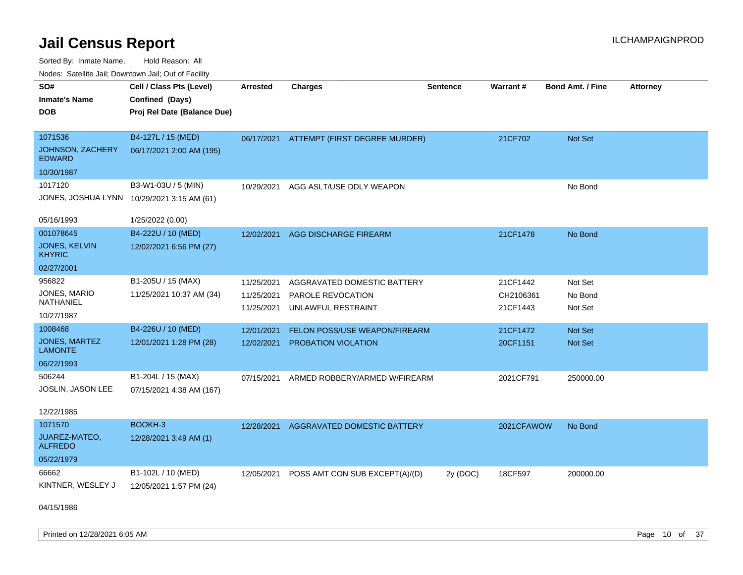Sorted By: Inmate Name, Hold Reason: All Nodes: Satellite Jail; Downtown Jail; Out of Facility

| Noues. Sateme Jan, Downtown Jan, Out of Facility |                                            |                 |                                          |                 |            |                  |                 |
|--------------------------------------------------|--------------------------------------------|-----------------|------------------------------------------|-----------------|------------|------------------|-----------------|
| SO#                                              | Cell / Class Pts (Level)                   | <b>Arrested</b> | <b>Charges</b>                           | <b>Sentence</b> | Warrant#   | Bond Amt. / Fine | <b>Attorney</b> |
| <b>Inmate's Name</b>                             | Confined (Days)                            |                 |                                          |                 |            |                  |                 |
| <b>DOB</b>                                       | Proj Rel Date (Balance Due)                |                 |                                          |                 |            |                  |                 |
|                                                  |                                            |                 |                                          |                 |            |                  |                 |
| 1071536                                          | B4-127L / 15 (MED)                         |                 | 06/17/2021 ATTEMPT (FIRST DEGREE MURDER) |                 | 21CF702    | Not Set          |                 |
| <b>JOHNSON, ZACHERY</b><br><b>EDWARD</b>         | 06/17/2021 2:00 AM (195)                   |                 |                                          |                 |            |                  |                 |
| 10/30/1987                                       |                                            |                 |                                          |                 |            |                  |                 |
| 1017120                                          | B3-W1-03U / 5 (MIN)                        | 10/29/2021      | AGG ASLT/USE DDLY WEAPON                 |                 |            | No Bond          |                 |
|                                                  | JONES, JOSHUA LYNN 10/29/2021 3:15 AM (61) |                 |                                          |                 |            |                  |                 |
|                                                  |                                            |                 |                                          |                 |            |                  |                 |
| 05/16/1993                                       | 1/25/2022 (0.00)                           |                 |                                          |                 |            |                  |                 |
| 001078645                                        | B4-222U / 10 (MED)                         | 12/02/2021      | AGG DISCHARGE FIREARM                    |                 | 21CF1478   | No Bond          |                 |
| JONES, KELVIN<br><b>KHYRIC</b>                   | 12/02/2021 6:56 PM (27)                    |                 |                                          |                 |            |                  |                 |
| 02/27/2001                                       |                                            |                 |                                          |                 |            |                  |                 |
| 956822                                           | B1-205U / 15 (MAX)                         | 11/25/2021      | AGGRAVATED DOMESTIC BATTERY              |                 | 21CF1442   | Not Set          |                 |
| JONES, MARIO                                     | 11/25/2021 10:37 AM (34)                   | 11/25/2021      | <b>PAROLE REVOCATION</b>                 |                 | CH2106361  | No Bond          |                 |
| NATHANIEL                                        |                                            | 11/25/2021      | UNLAWFUL RESTRAINT                       |                 | 21CF1443   | Not Set          |                 |
| 10/27/1987                                       |                                            |                 |                                          |                 |            |                  |                 |
| 1008468                                          | B4-226U / 10 (MED)                         | 12/01/2021      | FELON POSS/USE WEAPON/FIREARM            |                 | 21CF1472   | <b>Not Set</b>   |                 |
| JONES, MARTEZ<br><b>LAMONTE</b>                  | 12/01/2021 1:28 PM (28)                    | 12/02/2021      | <b>PROBATION VIOLATION</b>               |                 | 20CF1151   | Not Set          |                 |
| 06/22/1993                                       |                                            |                 |                                          |                 |            |                  |                 |
| 506244                                           | B1-204L / 15 (MAX)                         | 07/15/2021      | ARMED ROBBERY/ARMED W/FIREARM            |                 | 2021CF791  | 250000.00        |                 |
| JOSLIN, JASON LEE                                | 07/15/2021 4:38 AM (167)                   |                 |                                          |                 |            |                  |                 |
| 12/22/1985                                       |                                            |                 |                                          |                 |            |                  |                 |
| 1071570                                          | BOOKH-3                                    | 12/28/2021      | AGGRAVATED DOMESTIC BATTERY              |                 | 2021CFAWOW | No Bond          |                 |
| JUAREZ-MATEO,<br><b>ALFREDO</b>                  | 12/28/2021 3:49 AM (1)                     |                 |                                          |                 |            |                  |                 |
| 05/22/1979                                       |                                            |                 |                                          |                 |            |                  |                 |
| 66662                                            | B1-102L / 10 (MED)                         | 12/05/2021      | POSS AMT CON SUB EXCEPT(A)/(D)           | 2y (DOC)        | 18CF597    | 200000.00        |                 |
| KINTNER, WESLEY J                                | 12/05/2021 1:57 PM (24)                    |                 |                                          |                 |            |                  |                 |
|                                                  |                                            |                 |                                          |                 |            |                  |                 |

04/15/1986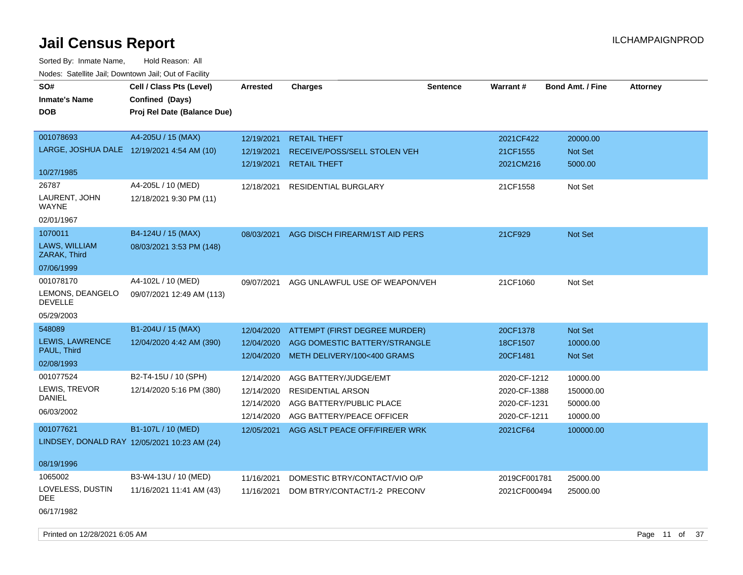| SO#                                        | Cell / Class Pts (Level)                     | <b>Arrested</b> | <b>Charges</b>                            | <b>Sentence</b> | Warrant#     | <b>Bond Amt. / Fine</b> | <b>Attorney</b> |
|--------------------------------------------|----------------------------------------------|-----------------|-------------------------------------------|-----------------|--------------|-------------------------|-----------------|
| <b>Inmate's Name</b>                       | Confined (Days)                              |                 |                                           |                 |              |                         |                 |
| <b>DOB</b>                                 | Proj Rel Date (Balance Due)                  |                 |                                           |                 |              |                         |                 |
|                                            |                                              |                 |                                           |                 |              |                         |                 |
| 001078693                                  | A4-205U / 15 (MAX)                           | 12/19/2021      | <b>RETAIL THEFT</b>                       |                 | 2021CF422    | 20000.00                |                 |
| LARGE, JOSHUA DALE 12/19/2021 4:54 AM (10) |                                              | 12/19/2021      | RECEIVE/POSS/SELL STOLEN VEH              |                 | 21CF1555     | Not Set                 |                 |
|                                            |                                              | 12/19/2021      | <b>RETAIL THEFT</b>                       |                 | 2021CM216    | 5000.00                 |                 |
| 10/27/1985                                 |                                              |                 |                                           |                 |              |                         |                 |
| 26787                                      | A4-205L / 10 (MED)                           | 12/18/2021      | RESIDENTIAL BURGLARY                      |                 | 21CF1558     | Not Set                 |                 |
| LAURENT, JOHN<br>WAYNE                     | 12/18/2021 9:30 PM (11)                      |                 |                                           |                 |              |                         |                 |
| 02/01/1967                                 |                                              |                 |                                           |                 |              |                         |                 |
| 1070011                                    | B4-124U / 15 (MAX)                           | 08/03/2021      | AGG DISCH FIREARM/1ST AID PERS            |                 | 21CF929      | Not Set                 |                 |
| <b>LAWS. WILLIAM</b><br>ZARAK, Third       | 08/03/2021 3:53 PM (148)                     |                 |                                           |                 |              |                         |                 |
| 07/06/1999                                 |                                              |                 |                                           |                 |              |                         |                 |
| 001078170                                  | A4-102L / 10 (MED)                           | 09/07/2021      | AGG UNLAWFUL USE OF WEAPON/VEH            |                 | 21CF1060     | Not Set                 |                 |
| LEMONS, DEANGELO<br><b>DEVELLE</b>         | 09/07/2021 12:49 AM (113)                    |                 |                                           |                 |              |                         |                 |
| 05/29/2003                                 |                                              |                 |                                           |                 |              |                         |                 |
| 548089                                     | B1-204U / 15 (MAX)                           | 12/04/2020      | ATTEMPT (FIRST DEGREE MURDER)             |                 | 20CF1378     | Not Set                 |                 |
| LEWIS, LAWRENCE                            | 12/04/2020 4:42 AM (390)                     | 12/04/2020      | AGG DOMESTIC BATTERY/STRANGLE             |                 | 18CF1507     | 10000.00                |                 |
| PAUL, Third                                |                                              | 12/04/2020      | METH DELIVERY/100<400 GRAMS               |                 | 20CF1481     | <b>Not Set</b>          |                 |
| 02/08/1993                                 |                                              |                 |                                           |                 |              |                         |                 |
| 001077524                                  | B2-T4-15U / 10 (SPH)                         | 12/14/2020      | AGG BATTERY/JUDGE/EMT                     |                 | 2020-CF-1212 | 10000.00                |                 |
| LEWIS, TREVOR                              | 12/14/2020 5:16 PM (380)                     | 12/14/2020      | <b>RESIDENTIAL ARSON</b>                  |                 | 2020-CF-1388 | 150000.00               |                 |
| <b>DANIEL</b>                              |                                              | 12/14/2020      | AGG BATTERY/PUBLIC PLACE                  |                 | 2020-CF-1231 | 50000.00                |                 |
| 06/03/2002                                 |                                              | 12/14/2020      | AGG BATTERY/PEACE OFFICER                 |                 | 2020-CF-1211 | 10000.00                |                 |
| 001077621                                  | B1-107L / 10 (MED)                           |                 | 12/05/2021 AGG ASLT PEACE OFF/FIRE/ER WRK |                 | 2021CF64     | 100000.00               |                 |
|                                            | LINDSEY, DONALD RAY 12/05/2021 10:23 AM (24) |                 |                                           |                 |              |                         |                 |
|                                            |                                              |                 |                                           |                 |              |                         |                 |
| 08/19/1996                                 |                                              |                 |                                           |                 |              |                         |                 |
| 1065002                                    | B3-W4-13U / 10 (MED)                         | 11/16/2021      | DOMESTIC BTRY/CONTACT/VIO O/P             |                 | 2019CF001781 | 25000.00                |                 |
| LOVELESS, DUSTIN<br>DEE.                   | 11/16/2021 11:41 AM (43)                     | 11/16/2021      | DOM BTRY/CONTACT/1-2 PRECONV              |                 | 2021CF000494 | 25000.00                |                 |
| 06/17/1982                                 |                                              |                 |                                           |                 |              |                         |                 |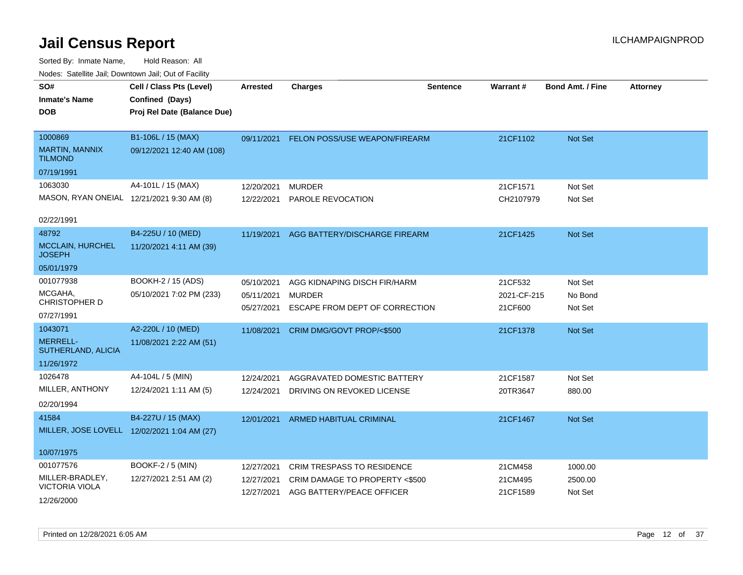| SO#                                       | Cell / Class Pts (Level)                    | Arrested   | <b>Charges</b>                           | <b>Sentence</b> | Warrant#    | <b>Bond Amt. / Fine</b> | <b>Attorney</b> |
|-------------------------------------------|---------------------------------------------|------------|------------------------------------------|-----------------|-------------|-------------------------|-----------------|
| <b>Inmate's Name</b>                      | Confined (Days)                             |            |                                          |                 |             |                         |                 |
| <b>DOB</b>                                | Proj Rel Date (Balance Due)                 |            |                                          |                 |             |                         |                 |
| 1000869                                   | B1-106L / 15 (MAX)                          |            | 09/11/2021 FELON POSS/USE WEAPON/FIREARM |                 | 21CF1102    | Not Set                 |                 |
| <b>MARTIN, MANNIX</b><br><b>TILMOND</b>   | 09/12/2021 12:40 AM (108)                   |            |                                          |                 |             |                         |                 |
| 07/19/1991                                |                                             |            |                                          |                 |             |                         |                 |
| 1063030                                   | A4-101L / 15 (MAX)                          | 12/20/2021 | <b>MURDER</b>                            |                 | 21CF1571    | Not Set                 |                 |
| MASON, RYAN ONEIAL 12/21/2021 9:30 AM (8) |                                             | 12/22/2021 | <b>PAROLE REVOCATION</b>                 |                 | CH2107979   | Not Set                 |                 |
| 02/22/1991                                |                                             |            |                                          |                 |             |                         |                 |
| 48792                                     | B4-225U / 10 (MED)                          |            |                                          |                 |             |                         |                 |
| <b>MCCLAIN, HURCHEL</b>                   | 11/20/2021 4:11 AM (39)                     | 11/19/2021 | AGG BATTERY/DISCHARGE FIREARM            |                 | 21CF1425    | Not Set                 |                 |
| <b>JOSEPH</b>                             |                                             |            |                                          |                 |             |                         |                 |
| 05/01/1979                                |                                             |            |                                          |                 |             |                         |                 |
| 001077938                                 | BOOKH-2 / 15 (ADS)                          | 05/10/2021 | AGG KIDNAPING DISCH FIR/HARM             |                 | 21CF532     | Not Set                 |                 |
| MCGAHA,                                   | 05/10/2021 7:02 PM (233)                    | 05/11/2021 | <b>MURDER</b>                            |                 | 2021-CF-215 | No Bond                 |                 |
| <b>CHRISTOPHER D</b>                      |                                             | 05/27/2021 | ESCAPE FROM DEPT OF CORRECTION           |                 | 21CF600     | Not Set                 |                 |
| 07/27/1991                                |                                             |            |                                          |                 |             |                         |                 |
| 1043071                                   | A2-220L / 10 (MED)                          | 11/08/2021 | CRIM DMG/GOVT PROP/<\$500                |                 | 21CF1378    | Not Set                 |                 |
| MERRELL-<br>SUTHERLAND, ALICIA            | 11/08/2021 2:22 AM (51)                     |            |                                          |                 |             |                         |                 |
| 11/26/1972                                |                                             |            |                                          |                 |             |                         |                 |
| 1026478                                   | A4-104L / 5 (MIN)                           | 12/24/2021 | AGGRAVATED DOMESTIC BATTERY              |                 | 21CF1587    | Not Set                 |                 |
| MILLER, ANTHONY                           | 12/24/2021 1:11 AM (5)                      | 12/24/2021 | DRIVING ON REVOKED LICENSE               |                 | 20TR3647    | 880.00                  |                 |
| 02/20/1994                                |                                             |            |                                          |                 |             |                         |                 |
| 41584                                     | B4-227U / 15 (MAX)                          | 12/01/2021 | ARMED HABITUAL CRIMINAL                  |                 | 21CF1467    | Not Set                 |                 |
|                                           | MILLER, JOSE LOVELL 12/02/2021 1:04 AM (27) |            |                                          |                 |             |                         |                 |
| 10/07/1975                                |                                             |            |                                          |                 |             |                         |                 |
| 001077576                                 | BOOKF-2 / 5 (MIN)                           |            |                                          |                 |             |                         |                 |
| MILLER-BRADLEY,                           |                                             | 12/27/2021 | <b>CRIM TRESPASS TO RESIDENCE</b>        |                 | 21CM458     | 1000.00                 |                 |
| <b>VICTORIA VIOLA</b>                     | 12/27/2021 2:51 AM (2)                      | 12/27/2021 | CRIM DAMAGE TO PROPERTY <\$500           |                 | 21CM495     | 2500.00                 |                 |
| 12/26/2000                                |                                             | 12/27/2021 | AGG BATTERY/PEACE OFFICER                |                 | 21CF1589    | Not Set                 |                 |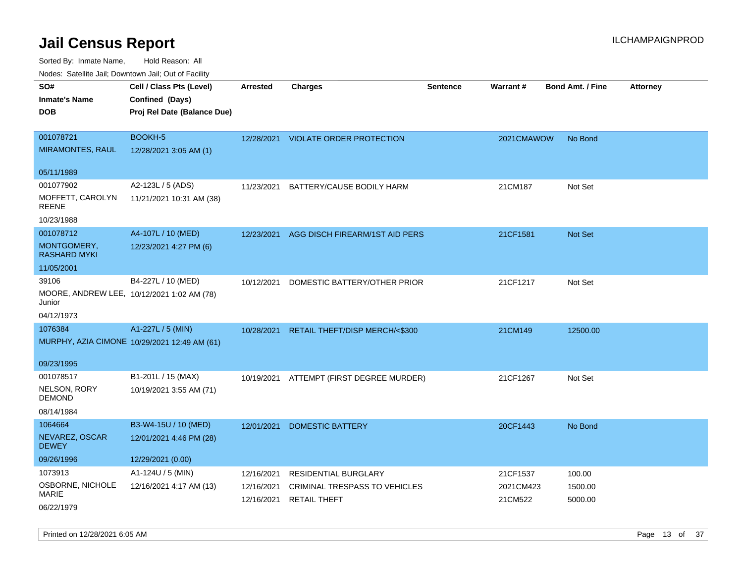| ivouss. Satellite Jali, Downtown Jali, Out of Facility |                                              |            |                                          |          |            |                         |                 |
|--------------------------------------------------------|----------------------------------------------|------------|------------------------------------------|----------|------------|-------------------------|-----------------|
| SO#                                                    | Cell / Class Pts (Level)                     | Arrested   | <b>Charges</b>                           | Sentence | Warrant#   | <b>Bond Amt. / Fine</b> | <b>Attorney</b> |
| <b>Inmate's Name</b>                                   | Confined (Days)                              |            |                                          |          |            |                         |                 |
| <b>DOB</b>                                             | Proj Rel Date (Balance Due)                  |            |                                          |          |            |                         |                 |
|                                                        |                                              |            |                                          |          |            |                         |                 |
| 001078721                                              | <b>BOOKH-5</b>                               |            | 12/28/2021 VIOLATE ORDER PROTECTION      |          | 2021CMAWOW | No Bond                 |                 |
| <b>MIRAMONTES, RAUL</b>                                | 12/28/2021 3:05 AM (1)                       |            |                                          |          |            |                         |                 |
| 05/11/1989                                             |                                              |            |                                          |          |            |                         |                 |
| 001077902                                              | A2-123L / 5 (ADS)                            | 11/23/2021 | BATTERY/CAUSE BODILY HARM                |          | 21CM187    | Not Set                 |                 |
| MOFFETT, CAROLYN<br><b>REENE</b>                       | 11/21/2021 10:31 AM (38)                     |            |                                          |          |            |                         |                 |
| 10/23/1988                                             |                                              |            |                                          |          |            |                         |                 |
| 001078712                                              | A4-107L / 10 (MED)                           | 12/23/2021 | AGG DISCH FIREARM/1ST AID PERS           |          | 21CF1581   | <b>Not Set</b>          |                 |
| MONTGOMERY,<br><b>RASHARD MYKI</b>                     | 12/23/2021 4:27 PM (6)                       |            |                                          |          |            |                         |                 |
| 11/05/2001                                             |                                              |            |                                          |          |            |                         |                 |
| 39106                                                  | B4-227L / 10 (MED)                           | 10/12/2021 | DOMESTIC BATTERY/OTHER PRIOR             |          | 21CF1217   | Not Set                 |                 |
| MOORE, ANDREW LEE, 10/12/2021 1:02 AM (78)<br>Junior   |                                              |            |                                          |          |            |                         |                 |
| 04/12/1973                                             |                                              |            |                                          |          |            |                         |                 |
| 1076384                                                | A1-227L / 5 (MIN)                            | 10/28/2021 | RETAIL THEFT/DISP MERCH/<\$300           |          | 21CM149    | 12500.00                |                 |
|                                                        | MURPHY, AZIA CIMONE 10/29/2021 12:49 AM (61) |            |                                          |          |            |                         |                 |
|                                                        |                                              |            |                                          |          |            |                         |                 |
| 09/23/1995                                             |                                              |            |                                          |          |            |                         |                 |
| 001078517<br><b>NELSON, RORY</b>                       | B1-201L / 15 (MAX)                           |            | 10/19/2021 ATTEMPT (FIRST DEGREE MURDER) |          | 21CF1267   | Not Set                 |                 |
| <b>DEMOND</b>                                          | 10/19/2021 3:55 AM (71)                      |            |                                          |          |            |                         |                 |
| 08/14/1984                                             |                                              |            |                                          |          |            |                         |                 |
| 1064664                                                | B3-W4-15U / 10 (MED)                         | 12/01/2021 | <b>DOMESTIC BATTERY</b>                  |          | 20CF1443   | No Bond                 |                 |
| NEVAREZ, OSCAR<br><b>DEWEY</b>                         | 12/01/2021 4:46 PM (28)                      |            |                                          |          |            |                         |                 |
| 09/26/1996                                             | 12/29/2021 (0.00)                            |            |                                          |          |            |                         |                 |
| 1073913                                                | A1-124U / 5 (MIN)                            | 12/16/2021 | <b>RESIDENTIAL BURGLARY</b>              |          | 21CF1537   | 100.00                  |                 |
| OSBORNE, NICHOLE                                       | 12/16/2021 4:17 AM (13)                      | 12/16/2021 | CRIMINAL TRESPASS TO VEHICLES            |          | 2021CM423  | 1500.00                 |                 |
| MARIE                                                  |                                              | 12/16/2021 | <b>RETAIL THEFT</b>                      |          | 21CM522    | 5000.00                 |                 |
| 06/22/1979                                             |                                              |            |                                          |          |            |                         |                 |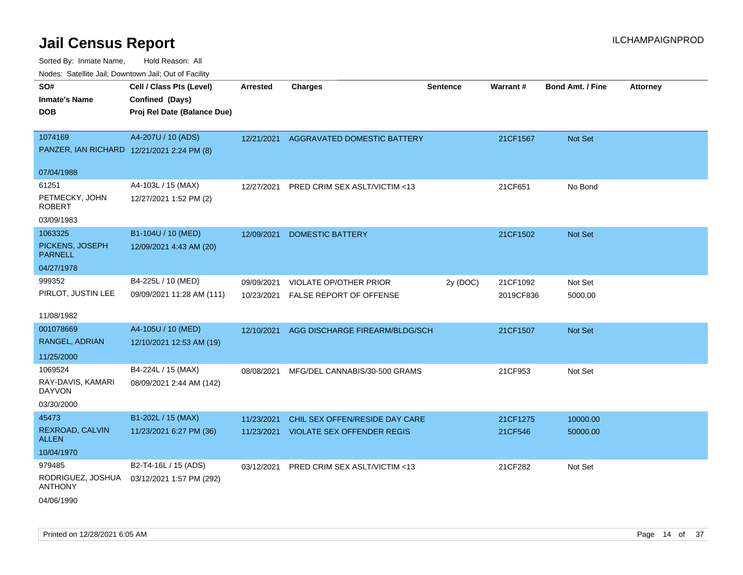| ivouss. Saleling Jali, Downtown Jali, Out of Facility |                             |                 |                                   |                 |                 |                         |                 |
|-------------------------------------------------------|-----------------------------|-----------------|-----------------------------------|-----------------|-----------------|-------------------------|-----------------|
| SO#                                                   | Cell / Class Pts (Level)    | <b>Arrested</b> | <b>Charges</b>                    | <b>Sentence</b> | <b>Warrant#</b> | <b>Bond Amt. / Fine</b> | <b>Attorney</b> |
| <b>Inmate's Name</b>                                  | Confined (Days)             |                 |                                   |                 |                 |                         |                 |
| <b>DOB</b>                                            | Proj Rel Date (Balance Due) |                 |                                   |                 |                 |                         |                 |
|                                                       |                             |                 |                                   |                 |                 |                         |                 |
| 1074169                                               | A4-207U / 10 (ADS)          | 12/21/2021      | AGGRAVATED DOMESTIC BATTERY       |                 | 21CF1567        | Not Set                 |                 |
| PANZER, IAN RICHARD 12/21/2021 2:24 PM (8)            |                             |                 |                                   |                 |                 |                         |                 |
| 07/04/1988                                            |                             |                 |                                   |                 |                 |                         |                 |
|                                                       |                             |                 |                                   |                 |                 |                         |                 |
| 61251                                                 | A4-103L / 15 (MAX)          | 12/27/2021      | PRED CRIM SEX ASLT/VICTIM <13     |                 | 21CF651         | No Bond                 |                 |
| PETMECKY, JOHN<br><b>ROBERT</b>                       | 12/27/2021 1:52 PM (2)      |                 |                                   |                 |                 |                         |                 |
| 03/09/1983                                            |                             |                 |                                   |                 |                 |                         |                 |
| 1063325                                               | B1-104U / 10 (MED)          | 12/09/2021      | DOMESTIC BATTERY                  |                 | 21CF1502        | <b>Not Set</b>          |                 |
| PICKENS, JOSEPH<br><b>PARNELL</b>                     | 12/09/2021 4:43 AM (20)     |                 |                                   |                 |                 |                         |                 |
| 04/27/1978                                            |                             |                 |                                   |                 |                 |                         |                 |
| 999352                                                | B4-225L / 10 (MED)          | 09/09/2021      | <b>VIOLATE OP/OTHER PRIOR</b>     | 2y (DOC)        | 21CF1092        | Not Set                 |                 |
| PIRLOT, JUSTIN LEE                                    | 09/09/2021 11:28 AM (111)   | 10/23/2021      | FALSE REPORT OF OFFENSE           |                 | 2019CF836       | 5000.00                 |                 |
|                                                       |                             |                 |                                   |                 |                 |                         |                 |
| 11/08/1982                                            |                             |                 |                                   |                 |                 |                         |                 |
| 001078669                                             | A4-105U / 10 (MED)          | 12/10/2021      | AGG DISCHARGE FIREARM/BLDG/SCH    |                 | 21CF1507        | Not Set                 |                 |
| RANGEL, ADRIAN                                        | 12/10/2021 12:53 AM (19)    |                 |                                   |                 |                 |                         |                 |
| 11/25/2000                                            |                             |                 |                                   |                 |                 |                         |                 |
| 1069524                                               | B4-224L / 15 (MAX)          | 08/08/2021      | MFG/DEL CANNABIS/30-500 GRAMS     |                 | 21CF953         | Not Set                 |                 |
| RAY-DAVIS, KAMARI<br><b>DAYVON</b>                    | 08/09/2021 2:44 AM (142)    |                 |                                   |                 |                 |                         |                 |
| 03/30/2000                                            |                             |                 |                                   |                 |                 |                         |                 |
| 45473                                                 | B1-202L / 15 (MAX)          | 11/23/2021      | CHIL SEX OFFEN/RESIDE DAY CARE    |                 | 21CF1275        | 10000.00                |                 |
| REXROAD, CALVIN<br><b>ALLEN</b>                       | 11/23/2021 6:27 PM (36)     | 11/23/2021      | <b>VIOLATE SEX OFFENDER REGIS</b> |                 | 21CF546         | 50000.00                |                 |
| 10/04/1970                                            |                             |                 |                                   |                 |                 |                         |                 |
| 979485                                                | B2-T4-16L / 15 (ADS)        | 03/12/2021      | PRED CRIM SEX ASLT/VICTIM <13     |                 | 21CF282         | Not Set                 |                 |
| RODRIGUEZ, JOSHUA<br><b>ANTHONY</b>                   | 03/12/2021 1:57 PM (292)    |                 |                                   |                 |                 |                         |                 |
| 04/06/1990                                            |                             |                 |                                   |                 |                 |                         |                 |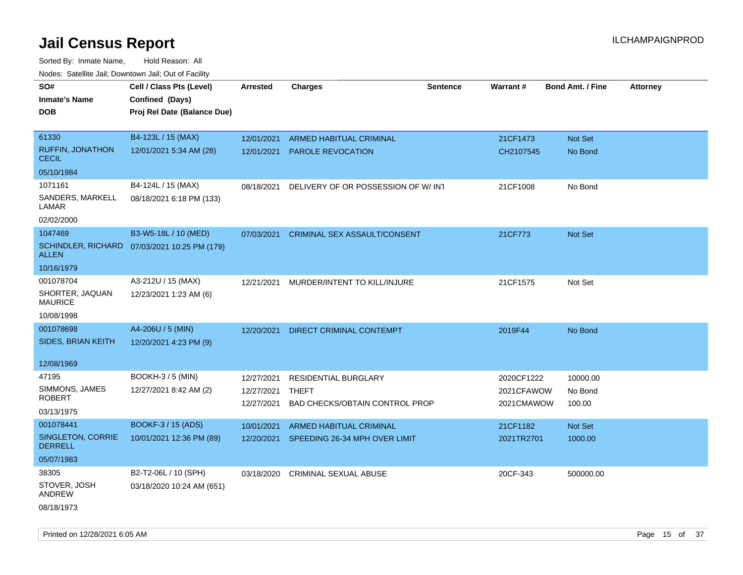| roaco. Catolino cali, Domntonn cali, Out of Facility |                                              |            |                                          |                 |            |                         |                 |
|------------------------------------------------------|----------------------------------------------|------------|------------------------------------------|-----------------|------------|-------------------------|-----------------|
| SO#                                                  | Cell / Class Pts (Level)                     | Arrested   | <b>Charges</b>                           | <b>Sentence</b> | Warrant#   | <b>Bond Amt. / Fine</b> | <b>Attorney</b> |
| <b>Inmate's Name</b>                                 | Confined (Days)                              |            |                                          |                 |            |                         |                 |
| <b>DOB</b>                                           | Proj Rel Date (Balance Due)                  |            |                                          |                 |            |                         |                 |
|                                                      |                                              |            |                                          |                 |            |                         |                 |
| 61330                                                | B4-123L / 15 (MAX)                           | 12/01/2021 | ARMED HABITUAL CRIMINAL                  |                 | 21CF1473   | Not Set                 |                 |
| <b>RUFFIN, JONATHON</b><br><b>CECIL</b>              | 12/01/2021 5:34 AM (28)                      | 12/01/2021 | <b>PAROLE REVOCATION</b>                 |                 | CH2107545  | No Bond                 |                 |
| 05/10/1984                                           |                                              |            |                                          |                 |            |                         |                 |
| 1071161                                              | B4-124L / 15 (MAX)                           | 08/18/2021 | DELIVERY OF OR POSSESSION OF W/ INT      |                 | 21CF1008   | No Bond                 |                 |
| SANDERS, MARKELL<br>LAMAR                            | 08/18/2021 6:18 PM (133)                     |            |                                          |                 |            |                         |                 |
| 02/02/2000                                           |                                              |            |                                          |                 |            |                         |                 |
| 1047469                                              | B3-W5-18L / 10 (MED)                         | 07/03/2021 | <b>CRIMINAL SEX ASSAULT/CONSENT</b>      |                 | 21CF773    | <b>Not Set</b>          |                 |
| <b>ALLEN</b>                                         | SCHINDLER, RICHARD 07/03/2021 10:25 PM (179) |            |                                          |                 |            |                         |                 |
| 10/16/1979                                           |                                              |            |                                          |                 |            |                         |                 |
| 001078704                                            | A3-212U / 15 (MAX)                           | 12/21/2021 | MURDER/INTENT TO KILL/INJURE             |                 | 21CF1575   | Not Set                 |                 |
| SHORTER, JAQUAN<br><b>MAURICE</b>                    | 12/23/2021 1:23 AM (6)                       |            |                                          |                 |            |                         |                 |
| 10/08/1998                                           |                                              |            |                                          |                 |            |                         |                 |
| 001078698                                            | A4-206U / 5 (MIN)                            | 12/20/2021 | DIRECT CRIMINAL CONTEMPT                 |                 | 2019F44    | No Bond                 |                 |
| SIDES, BRIAN KEITH                                   | 12/20/2021 4:23 PM (9)                       |            |                                          |                 |            |                         |                 |
|                                                      |                                              |            |                                          |                 |            |                         |                 |
| 12/08/1969                                           |                                              |            |                                          |                 |            |                         |                 |
| 47195                                                | <b>BOOKH-3 / 5 (MIN)</b>                     | 12/27/2021 | <b>RESIDENTIAL BURGLARY</b>              |                 | 2020CF1222 | 10000.00                |                 |
| SIMMONS, JAMES                                       | 12/27/2021 8:42 AM (2)                       | 12/27/2021 | THEFT                                    |                 | 2021CFAWOW | No Bond                 |                 |
| <b>ROBERT</b>                                        |                                              | 12/27/2021 | <b>BAD CHECKS/OBTAIN CONTROL PROP</b>    |                 | 2021CMAWOW | 100.00                  |                 |
| 03/13/1975                                           |                                              |            |                                          |                 |            |                         |                 |
| 001078441                                            | BOOKF-3 / 15 (ADS)                           | 10/01/2021 | <b>ARMED HABITUAL CRIMINAL</b>           |                 | 21CF1182   | Not Set                 |                 |
| SINGLETON, CORRIE<br><b>DERRELL</b>                  | 10/01/2021 12:36 PM (89)                     |            | 12/20/2021 SPEEDING 26-34 MPH OVER LIMIT |                 | 2021TR2701 | 1000.00                 |                 |
| 05/07/1983                                           |                                              |            |                                          |                 |            |                         |                 |
| 38305                                                | B2-T2-06L / 10 (SPH)                         | 03/18/2020 | <b>CRIMINAL SEXUAL ABUSE</b>             |                 | 20CF-343   | 500000.00               |                 |
| STOVER, JOSH<br>ANDREW                               | 03/18/2020 10:24 AM (651)                    |            |                                          |                 |            |                         |                 |
| 08/18/1973                                           |                                              |            |                                          |                 |            |                         |                 |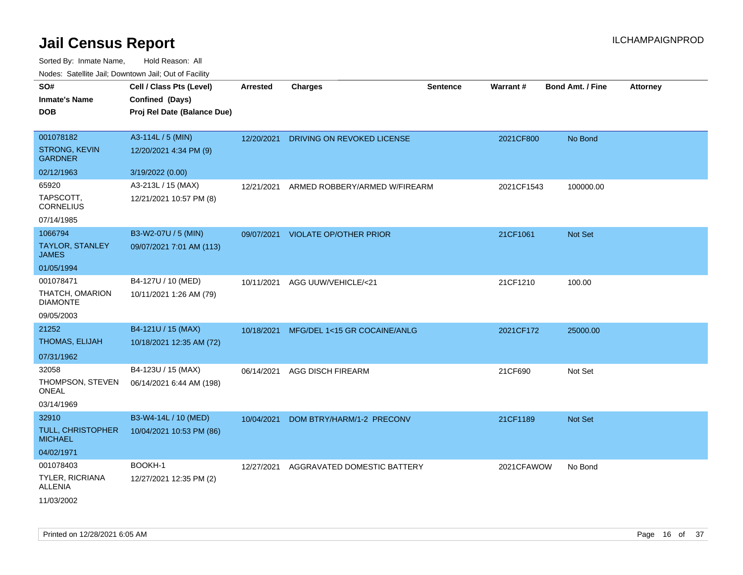| rougs. Calcinic Jan, Downtown Jan, Out of Facility |                             |                 |                                         |                 |            |                         |                 |
|----------------------------------------------------|-----------------------------|-----------------|-----------------------------------------|-----------------|------------|-------------------------|-----------------|
| SO#                                                | Cell / Class Pts (Level)    | <b>Arrested</b> | <b>Charges</b>                          | <b>Sentence</b> | Warrant#   | <b>Bond Amt. / Fine</b> | <b>Attorney</b> |
| <b>Inmate's Name</b>                               | Confined (Days)             |                 |                                         |                 |            |                         |                 |
| <b>DOB</b>                                         | Proj Rel Date (Balance Due) |                 |                                         |                 |            |                         |                 |
|                                                    |                             |                 |                                         |                 |            |                         |                 |
| 001078182                                          | A3-114L / 5 (MIN)           | 12/20/2021      | DRIVING ON REVOKED LICENSE              |                 | 2021CF800  | No Bond                 |                 |
| <b>STRONG, KEVIN</b><br><b>GARDNER</b>             | 12/20/2021 4:34 PM (9)      |                 |                                         |                 |            |                         |                 |
| 02/12/1963                                         | 3/19/2022 (0.00)            |                 |                                         |                 |            |                         |                 |
| 65920                                              | A3-213L / 15 (MAX)          | 12/21/2021      | ARMED ROBBERY/ARMED W/FIREARM           |                 | 2021CF1543 | 100000.00               |                 |
| TAPSCOTT,<br><b>CORNELIUS</b>                      | 12/21/2021 10:57 PM (8)     |                 |                                         |                 |            |                         |                 |
| 07/14/1985                                         |                             |                 |                                         |                 |            |                         |                 |
| 1066794                                            | B3-W2-07U / 5 (MIN)         |                 | 09/07/2021 VIOLATE OP/OTHER PRIOR       |                 | 21CF1061   | <b>Not Set</b>          |                 |
| <b>TAYLOR, STANLEY</b><br><b>JAMES</b>             | 09/07/2021 7:01 AM (113)    |                 |                                         |                 |            |                         |                 |
| 01/05/1994                                         |                             |                 |                                         |                 |            |                         |                 |
| 001078471                                          | B4-127U / 10 (MED)          | 10/11/2021      | AGG UUW/VEHICLE/<21                     |                 | 21CF1210   | 100.00                  |                 |
| THATCH, OMARION<br><b>DIAMONTE</b>                 | 10/11/2021 1:26 AM (79)     |                 |                                         |                 |            |                         |                 |
| 09/05/2003                                         |                             |                 |                                         |                 |            |                         |                 |
| 21252                                              | B4-121U / 15 (MAX)          |                 | 10/18/2021 MFG/DEL 1<15 GR COCAINE/ANLG |                 | 2021CF172  | 25000.00                |                 |
| THOMAS, ELIJAH                                     | 10/18/2021 12:35 AM (72)    |                 |                                         |                 |            |                         |                 |
| 07/31/1962                                         |                             |                 |                                         |                 |            |                         |                 |
| 32058                                              | B4-123U / 15 (MAX)          | 06/14/2021      | <b>AGG DISCH FIREARM</b>                |                 | 21CF690    | Not Set                 |                 |
| THOMPSON, STEVEN<br>ONEAL                          | 06/14/2021 6:44 AM (198)    |                 |                                         |                 |            |                         |                 |
| 03/14/1969                                         |                             |                 |                                         |                 |            |                         |                 |
| 32910                                              | B3-W4-14L / 10 (MED)        | 10/04/2021      | DOM BTRY/HARM/1-2 PRECONV               |                 | 21CF1189   | Not Set                 |                 |
| TULL, CHRISTOPHER<br><b>MICHAEL</b>                | 10/04/2021 10:53 PM (86)    |                 |                                         |                 |            |                         |                 |
| 04/02/1971                                         |                             |                 |                                         |                 |            |                         |                 |
| 001078403                                          | BOOKH-1                     | 12/27/2021      | AGGRAVATED DOMESTIC BATTERY             |                 | 2021CFAWOW | No Bond                 |                 |
| <b>TYLER, RICRIANA</b><br>ALLENIA                  | 12/27/2021 12:35 PM (2)     |                 |                                         |                 |            |                         |                 |
| 11/03/2002                                         |                             |                 |                                         |                 |            |                         |                 |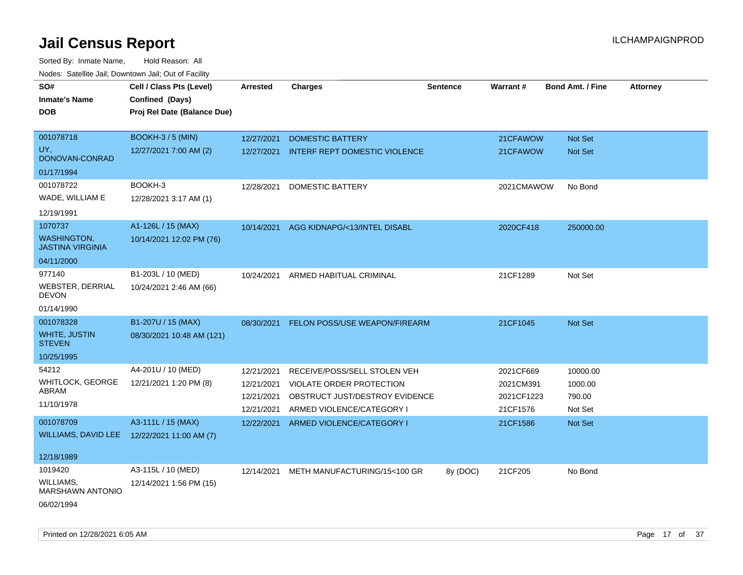| soupois catomic can, Dominomii can, Cat or I domt<br>SO#<br><b>Inmate's Name</b> | Cell / Class Pts (Level)<br>Confined (Days) | <b>Arrested</b> | <b>Charges</b>                       | <b>Sentence</b> | Warrant#   | <b>Bond Amt. / Fine</b> | <b>Attorney</b> |
|----------------------------------------------------------------------------------|---------------------------------------------|-----------------|--------------------------------------|-----------------|------------|-------------------------|-----------------|
| <b>DOB</b>                                                                       | Proj Rel Date (Balance Due)                 |                 |                                      |                 |            |                         |                 |
| 001078718                                                                        | <b>BOOKH-3/5 (MIN)</b>                      | 12/27/2021      | <b>DOMESTIC BATTERY</b>              |                 | 21CFAWOW   | Not Set                 |                 |
| UY.<br>DONOVAN-CONRAD                                                            | 12/27/2021 7:00 AM (2)                      | 12/27/2021      | <b>INTERF REPT DOMESTIC VIOLENCE</b> |                 | 21CFAWOW   | <b>Not Set</b>          |                 |
| 01/17/1994                                                                       |                                             |                 |                                      |                 |            |                         |                 |
| 001078722                                                                        | BOOKH-3                                     | 12/28/2021      | DOMESTIC BATTERY                     |                 | 2021CMAWOW | No Bond                 |                 |
| WADE, WILLIAM E                                                                  | 12/28/2021 3:17 AM (1)                      |                 |                                      |                 |            |                         |                 |
| 12/19/1991                                                                       |                                             |                 |                                      |                 |            |                         |                 |
| 1070737                                                                          | A1-126L / 15 (MAX)                          | 10/14/2021      | AGG KIDNAPG/<13/INTEL DISABL         |                 | 2020CF418  | 250000.00               |                 |
| <b>WASHINGTON,</b><br><b>JASTINA VIRGINIA</b>                                    | 10/14/2021 12:02 PM (76)                    |                 |                                      |                 |            |                         |                 |
| 04/11/2000                                                                       |                                             |                 |                                      |                 |            |                         |                 |
| 977140                                                                           | B1-203L / 10 (MED)                          | 10/24/2021      | ARMED HABITUAL CRIMINAL              |                 | 21CF1289   | Not Set                 |                 |
| <b>WEBSTER, DERRIAL</b><br><b>DEVON</b>                                          | 10/24/2021 2:46 AM (66)                     |                 |                                      |                 |            |                         |                 |
| 01/14/1990                                                                       |                                             |                 |                                      |                 |            |                         |                 |
| 001078328                                                                        | B1-207U / 15 (MAX)                          | 08/30/2021      | FELON POSS/USE WEAPON/FIREARM        |                 | 21CF1045   | <b>Not Set</b>          |                 |
| <b>WHITE, JUSTIN</b><br><b>STEVEN</b>                                            | 08/30/2021 10:48 AM (121)                   |                 |                                      |                 |            |                         |                 |
| 10/25/1995                                                                       |                                             |                 |                                      |                 |            |                         |                 |
| 54212                                                                            | A4-201U / 10 (MED)                          | 12/21/2021      | RECEIVE/POSS/SELL STOLEN VEH         |                 | 2021CF669  | 10000.00                |                 |
| WHITLOCK, GEORGE                                                                 | 12/21/2021 1:20 PM (8)                      | 12/21/2021      | VIOLATE ORDER PROTECTION             |                 | 2021CM391  | 1000.00                 |                 |
| ABRAM                                                                            |                                             | 12/21/2021      | OBSTRUCT JUST/DESTROY EVIDENCE       |                 | 2021CF1223 | 790.00                  |                 |
| 11/10/1978                                                                       |                                             | 12/21/2021      | ARMED VIOLENCE/CATEGORY I            |                 | 21CF1576   | Not Set                 |                 |
| 001078709                                                                        | A3-111L / 15 (MAX)                          | 12/22/2021      | ARMED VIOLENCE/CATEGORY I            |                 | 21CF1586   | <b>Not Set</b>          |                 |
| WILLIAMS, DAVID LEE 12/22/2021 11:00 AM (7)                                      |                                             |                 |                                      |                 |            |                         |                 |
| 12/18/1989                                                                       |                                             |                 |                                      |                 |            |                         |                 |
| 1019420                                                                          | A3-115L / 10 (MED)                          | 12/14/2021      | METH MANUFACTURING/15<100 GR         | 8y (DOC)        | 21CF205    | No Bond                 |                 |
| <b>WILLIAMS,</b><br><b>MARSHAWN ANTONIO</b>                                      | 12/14/2021 1:56 PM (15)                     |                 |                                      |                 |            |                         |                 |
| 06/02/1994                                                                       |                                             |                 |                                      |                 |            |                         |                 |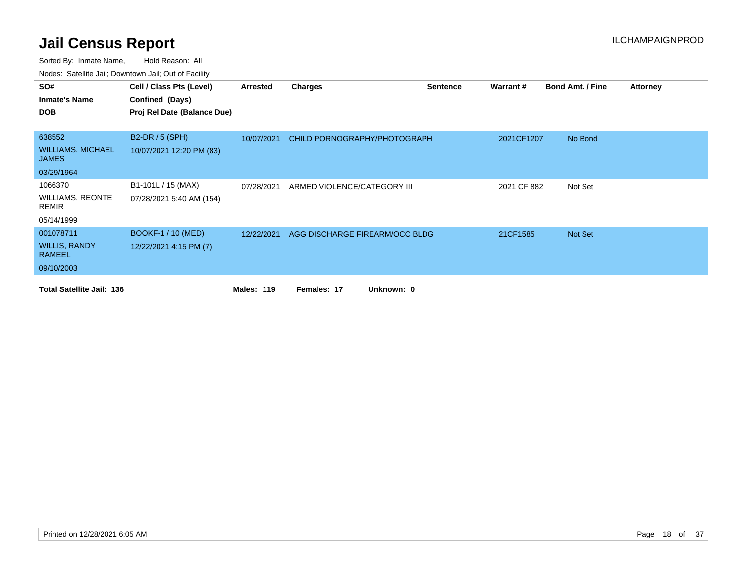| SO#                                      | Cell / Class Pts (Level)    | Arrested          | <b>Charges</b>                 | <b>Sentence</b> | Warrant#    | <b>Bond Amt. / Fine</b> | <b>Attorney</b> |
|------------------------------------------|-----------------------------|-------------------|--------------------------------|-----------------|-------------|-------------------------|-----------------|
| <b>Inmate's Name</b>                     | Confined (Days)             |                   |                                |                 |             |                         |                 |
| <b>DOB</b>                               | Proj Rel Date (Balance Due) |                   |                                |                 |             |                         |                 |
|                                          |                             |                   |                                |                 |             |                         |                 |
| 638552                                   | <b>B2-DR / 5 (SPH)</b>      | 10/07/2021        | CHILD PORNOGRAPHY/PHOTOGRAPH   |                 | 2021CF1207  | No Bond                 |                 |
| <b>WILLIAMS, MICHAEL</b><br><b>JAMES</b> | 10/07/2021 12:20 PM (83)    |                   |                                |                 |             |                         |                 |
| 03/29/1964                               |                             |                   |                                |                 |             |                         |                 |
| 1066370                                  | B1-101L / 15 (MAX)          | 07/28/2021        | ARMED VIOLENCE/CATEGORY III    |                 | 2021 CF 882 | Not Set                 |                 |
| <b>WILLIAMS, REONTE</b><br>REMIR         | 07/28/2021 5:40 AM (154)    |                   |                                |                 |             |                         |                 |
| 05/14/1999                               |                             |                   |                                |                 |             |                         |                 |
| 001078711                                | <b>BOOKF-1 / 10 (MED)</b>   | 12/22/2021        | AGG DISCHARGE FIREARM/OCC BLDG |                 | 21CF1585    | Not Set                 |                 |
| <b>WILLIS, RANDY</b><br><b>RAMEEL</b>    | 12/22/2021 4:15 PM (7)      |                   |                                |                 |             |                         |                 |
| 09/10/2003                               |                             |                   |                                |                 |             |                         |                 |
| <b>Total Satellite Jail: 136</b>         |                             | <b>Males: 119</b> | Unknown: 0<br>Females: 17      |                 |             |                         |                 |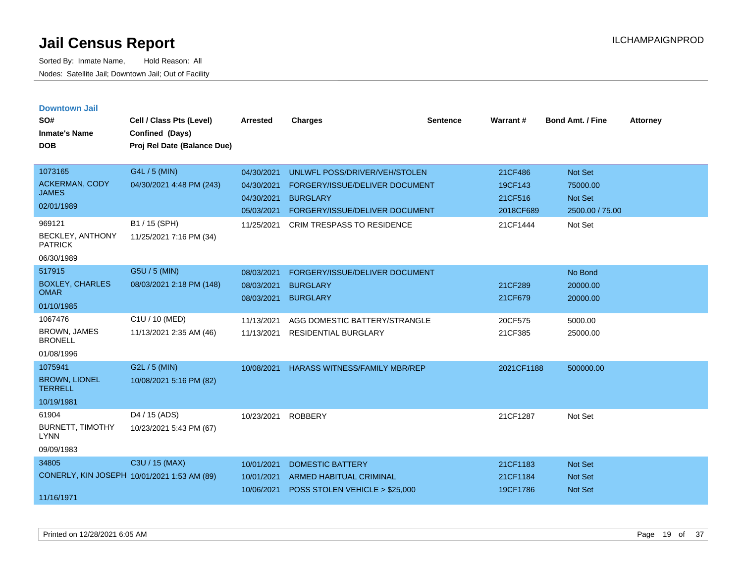| <b>Downtown Jail</b><br>SO#<br><b>Inmate's Name</b><br><b>DOB</b> | Cell / Class Pts (Level)<br>Confined (Days)<br>Proj Rel Date (Balance Due) | <b>Arrested</b>                        | <b>Charges</b>                                                                     | <b>Sentence</b> | <b>Warrant#</b>               | <b>Bond Amt. / Fine</b>               | <b>Attorney</b> |
|-------------------------------------------------------------------|----------------------------------------------------------------------------|----------------------------------------|------------------------------------------------------------------------------------|-----------------|-------------------------------|---------------------------------------|-----------------|
| 1073165<br><b>ACKERMAN, CODY</b><br><b>JAMES</b>                  | G4L / 5 (MIN)<br>04/30/2021 4:48 PM (243)                                  | 04/30/2021<br>04/30/2021<br>04/30/2021 | UNLWFL POSS/DRIVER/VEH/STOLEN<br>FORGERY/ISSUE/DELIVER DOCUMENT<br><b>BURGLARY</b> |                 | 21CF486<br>19CF143<br>21CF516 | Not Set<br>75000.00<br><b>Not Set</b> |                 |
| 02/01/1989                                                        |                                                                            | 05/03/2021                             | FORGERY/ISSUE/DELIVER DOCUMENT                                                     |                 | 2018CF689                     | 2500.00 / 75.00                       |                 |
| 969121<br><b>BECKLEY, ANTHONY</b><br><b>PATRICK</b><br>06/30/1989 | B1 / 15 (SPH)<br>11/25/2021 7:16 PM (34)                                   | 11/25/2021                             | <b>CRIM TRESPASS TO RESIDENCE</b>                                                  |                 | 21CF1444                      | Not Set                               |                 |
| 517915                                                            | G5U / 5 (MIN)                                                              | 08/03/2021                             | FORGERY/ISSUE/DELIVER DOCUMENT                                                     |                 |                               | No Bond                               |                 |
| <b>BOXLEY, CHARLES</b><br><b>OMAR</b>                             | 08/03/2021 2:18 PM (148)                                                   | 08/03/2021<br>08/03/2021               | <b>BURGLARY</b><br><b>BURGLARY</b>                                                 |                 | 21CF289<br>21CF679            | 20000.00<br>20000.00                  |                 |
| 01/10/1985                                                        |                                                                            |                                        |                                                                                    |                 |                               |                                       |                 |
| 1067476<br><b>BROWN, JAMES</b><br><b>BRONELL</b><br>01/08/1996    | C1U / 10 (MED)<br>11/13/2021 2:35 AM (46)                                  | 11/13/2021<br>11/13/2021               | AGG DOMESTIC BATTERY/STRANGLE<br><b>RESIDENTIAL BURGLARY</b>                       |                 | 20CF575<br>21CF385            | 5000.00<br>25000.00                   |                 |
| 1075941<br><b>BROWN, LIONEL</b><br><b>TERRELL</b><br>10/19/1981   | G2L / 5 (MIN)<br>10/08/2021 5:16 PM (82)                                   | 10/08/2021                             | <b>HARASS WITNESS/FAMILY MBR/REP</b>                                               |                 | 2021CF1188                    | 500000.00                             |                 |
| 61904<br><b>BURNETT, TIMOTHY</b><br><b>LYNN</b><br>09/09/1983     | D4 / 15 (ADS)<br>10/23/2021 5:43 PM (67)                                   | 10/23/2021                             | <b>ROBBERY</b>                                                                     |                 | 21CF1287                      | Not Set                               |                 |
| 34805                                                             | C3U / 15 (MAX)                                                             | 10/01/2021                             | <b>DOMESTIC BATTERY</b>                                                            |                 | 21CF1183                      | <b>Not Set</b>                        |                 |
| CONERLY, KIN JOSEPH 10/01/2021 1:53 AM (89)                       |                                                                            | 10/01/2021                             | <b>ARMED HABITUAL CRIMINAL</b>                                                     |                 | 21CF1184                      | <b>Not Set</b>                        |                 |
| 11/16/1971                                                        |                                                                            | 10/06/2021                             | POSS STOLEN VEHICLE > \$25,000                                                     |                 | 19CF1786                      | <b>Not Set</b>                        |                 |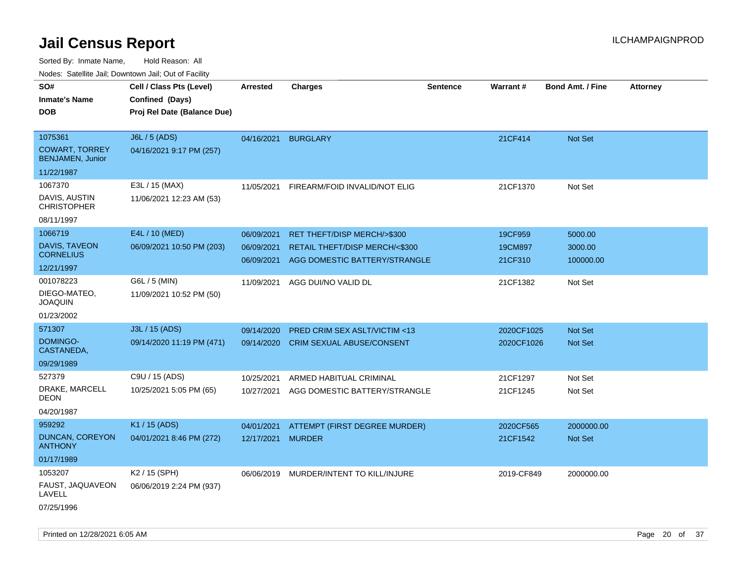| Noucs. Calcillic Jail, Downtown Jail, Out of Facility       |                                                                            |                                        |                                                                                                          |                 |                               |                                 |                 |
|-------------------------------------------------------------|----------------------------------------------------------------------------|----------------------------------------|----------------------------------------------------------------------------------------------------------|-----------------|-------------------------------|---------------------------------|-----------------|
| SO#<br><b>Inmate's Name</b><br><b>DOB</b>                   | Cell / Class Pts (Level)<br>Confined (Days)<br>Proj Rel Date (Balance Due) | <b>Arrested</b>                        | <b>Charges</b>                                                                                           | <b>Sentence</b> | Warrant#                      | <b>Bond Amt. / Fine</b>         | <b>Attorney</b> |
| 1075361<br><b>COWART, TORREY</b><br><b>BENJAMEN, Junior</b> | J6L / 5 (ADS)<br>04/16/2021 9:17 PM (257)                                  | 04/16/2021                             | <b>BURGLARY</b>                                                                                          |                 | 21CF414                       | Not Set                         |                 |
| 11/22/1987                                                  |                                                                            |                                        |                                                                                                          |                 |                               |                                 |                 |
| 1067370<br>DAVIS, AUSTIN<br><b>CHRISTOPHER</b>              | E3L / 15 (MAX)<br>11/06/2021 12:23 AM (53)                                 | 11/05/2021                             | FIREARM/FOID INVALID/NOT ELIG                                                                            |                 | 21CF1370                      | Not Set                         |                 |
| 08/11/1997                                                  |                                                                            |                                        |                                                                                                          |                 |                               |                                 |                 |
| 1066719<br>DAVIS, TAVEON<br><b>CORNELIUS</b><br>12/21/1997  | E4L / 10 (MED)<br>06/09/2021 10:50 PM (203)                                | 06/09/2021<br>06/09/2021<br>06/09/2021 | <b>RET THEFT/DISP MERCH/&gt;\$300</b><br>RETAIL THEFT/DISP MERCH/<\$300<br>AGG DOMESTIC BATTERY/STRANGLE |                 | 19CF959<br>19CM897<br>21CF310 | 5000.00<br>3000.00<br>100000.00 |                 |
| 001078223<br>DIEGO-MATEO,<br>JOAQUIN<br>01/23/2002          | G6L / 5 (MIN)<br>11/09/2021 10:52 PM (50)                                  | 11/09/2021                             | AGG DUI/NO VALID DL                                                                                      |                 | 21CF1382                      | Not Set                         |                 |
| 571307                                                      | J3L / 15 (ADS)                                                             | 09/14/2020                             | <b>PRED CRIM SEX ASLT/VICTIM &lt;13</b>                                                                  |                 | 2020CF1025                    | <b>Not Set</b>                  |                 |
| DOMINGO-<br>CASTANEDA,                                      | 09/14/2020 11:19 PM (471)                                                  | 09/14/2020                             | CRIM SEXUAL ABUSE/CONSENT                                                                                |                 | 2020CF1026                    | Not Set                         |                 |
| 09/29/1989                                                  |                                                                            |                                        |                                                                                                          |                 |                               |                                 |                 |
| 527379<br>DRAKE, MARCELL<br><b>DEON</b><br>04/20/1987       | C9U / 15 (ADS)<br>10/25/2021 5:05 PM (65)                                  | 10/25/2021<br>10/27/2021               | ARMED HABITUAL CRIMINAL<br>AGG DOMESTIC BATTERY/STRANGLE                                                 |                 | 21CF1297<br>21CF1245          | Not Set<br>Not Set              |                 |
| 959292                                                      | K1 / 15 (ADS)                                                              | 04/01/2021                             | ATTEMPT (FIRST DEGREE MURDER)                                                                            |                 | 2020CF565                     | 2000000.00                      |                 |
| <b>DUNCAN, COREYON</b><br><b>ANTHONY</b>                    | 04/01/2021 8:46 PM (272)                                                   | 12/17/2021                             | <b>MURDER</b>                                                                                            |                 | 21CF1542                      | Not Set                         |                 |
| 01/17/1989                                                  |                                                                            |                                        |                                                                                                          |                 |                               |                                 |                 |
| 1053207                                                     | K2 / 15 (SPH)                                                              | 06/06/2019                             | MURDER/INTENT TO KILL/INJURE                                                                             |                 | 2019-CF849                    | 2000000.00                      |                 |
| FAUST, JAQUAVEON<br>LAVELL<br>07/25/1996                    | 06/06/2019 2:24 PM (937)                                                   |                                        |                                                                                                          |                 |                               |                                 |                 |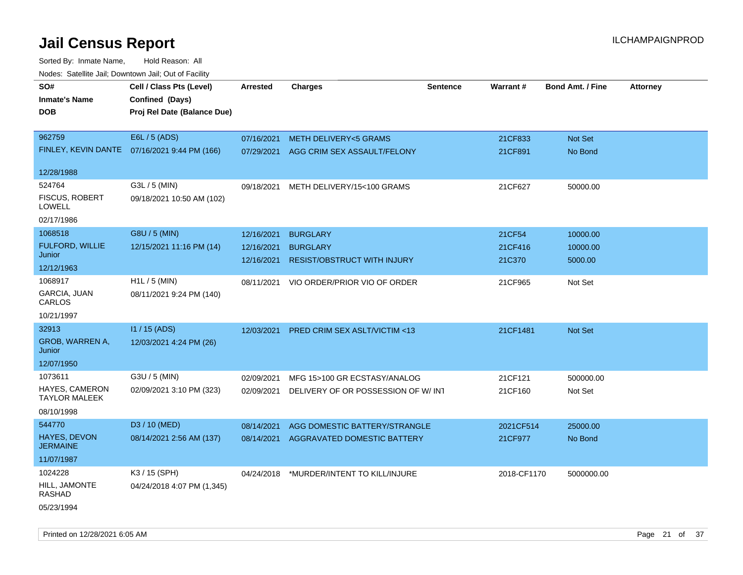| <b>NOULD:</b> Cutomto can, Downtown can, Out of Fability |                                              |                 |                                          |                 |             |                         |                 |
|----------------------------------------------------------|----------------------------------------------|-----------------|------------------------------------------|-----------------|-------------|-------------------------|-----------------|
| SO#<br><b>Inmate's Name</b>                              | Cell / Class Pts (Level)<br>Confined (Days)  | <b>Arrested</b> | Charges                                  | <b>Sentence</b> | Warrant#    | <b>Bond Amt. / Fine</b> | <b>Attorney</b> |
| <b>DOB</b>                                               | Proj Rel Date (Balance Due)                  |                 |                                          |                 |             |                         |                 |
| 962759                                                   | E6L / 5 (ADS)                                | 07/16/2021      | <b>METH DELIVERY&lt;5 GRAMS</b>          |                 | 21CF833     | <b>Not Set</b>          |                 |
|                                                          | FINLEY, KEVIN DANTE 07/16/2021 9:44 PM (166) | 07/29/2021      | AGG CRIM SEX ASSAULT/FELONY              |                 | 21CF891     | No Bond                 |                 |
| 12/28/1988                                               |                                              |                 |                                          |                 |             |                         |                 |
| 524764                                                   | G3L / 5 (MIN)                                | 09/18/2021      | METH DELIVERY/15<100 GRAMS               |                 | 21CF627     | 50000.00                |                 |
| <b>FISCUS, ROBERT</b><br>LOWELL                          | 09/18/2021 10:50 AM (102)                    |                 |                                          |                 |             |                         |                 |
| 02/17/1986                                               |                                              |                 |                                          |                 |             |                         |                 |
| 1068518                                                  | G8U / 5 (MIN)                                | 12/16/2021      | <b>BURGLARY</b>                          |                 | 21CF54      | 10000.00                |                 |
| FULFORD, WILLIE                                          | 12/15/2021 11:16 PM (14)                     | 12/16/2021      | <b>BURGLARY</b>                          |                 | 21CF416     | 10000.00                |                 |
| Junior                                                   |                                              | 12/16/2021      | <b>RESIST/OBSTRUCT WITH INJURY</b>       |                 | 21C370      | 5000.00                 |                 |
| 12/12/1963                                               |                                              |                 |                                          |                 |             |                         |                 |
| 1068917<br>GARCIA, JUAN                                  | $H1L / 5$ (MIN)<br>08/11/2021 9:24 PM (140)  | 08/11/2021      | VIO ORDER/PRIOR VIO OF ORDER             |                 | 21CF965     | Not Set                 |                 |
| CARLOS                                                   |                                              |                 |                                          |                 |             |                         |                 |
| 10/21/1997                                               |                                              |                 |                                          |                 |             |                         |                 |
| 32913                                                    | I1 / 15 (ADS)                                | 12/03/2021      | <b>PRED CRIM SEX ASLT/VICTIM &lt;13</b>  |                 | 21CF1481    | <b>Not Set</b>          |                 |
| GROB, WARREN A,<br>Junior                                | 12/03/2021 4:24 PM (26)                      |                 |                                          |                 |             |                         |                 |
| 12/07/1950                                               |                                              |                 |                                          |                 |             |                         |                 |
| 1073611                                                  | G3U / 5 (MIN)                                | 02/09/2021      | MFG 15>100 GR ECSTASY/ANALOG             |                 | 21CF121     | 500000.00               |                 |
| <b>HAYES, CAMERON</b><br><b>TAYLOR MALEEK</b>            | 02/09/2021 3:10 PM (323)                     | 02/09/2021      | DELIVERY OF OR POSSESSION OF W/INT       |                 | 21CF160     | Not Set                 |                 |
| 08/10/1998                                               |                                              |                 |                                          |                 |             |                         |                 |
| 544770                                                   | D3 / 10 (MED)                                | 08/14/2021      | AGG DOMESTIC BATTERY/STRANGLE            |                 | 2021CF514   | 25000.00                |                 |
| <b>HAYES, DEVON</b><br><b>JERMAINE</b>                   | 08/14/2021 2:56 AM (137)                     | 08/14/2021      | AGGRAVATED DOMESTIC BATTERY              |                 | 21CF977     | No Bond                 |                 |
| 11/07/1987                                               |                                              |                 |                                          |                 |             |                         |                 |
| 1024228                                                  | K3 / 15 (SPH)                                |                 | 04/24/2018 *MURDER/INTENT TO KILL/INJURE |                 | 2018-CF1170 | 5000000.00              |                 |
| HILL, JAMONTE<br>RASHAD                                  | 04/24/2018 4:07 PM (1,345)                   |                 |                                          |                 |             |                         |                 |
| 05/23/1994                                               |                                              |                 |                                          |                 |             |                         |                 |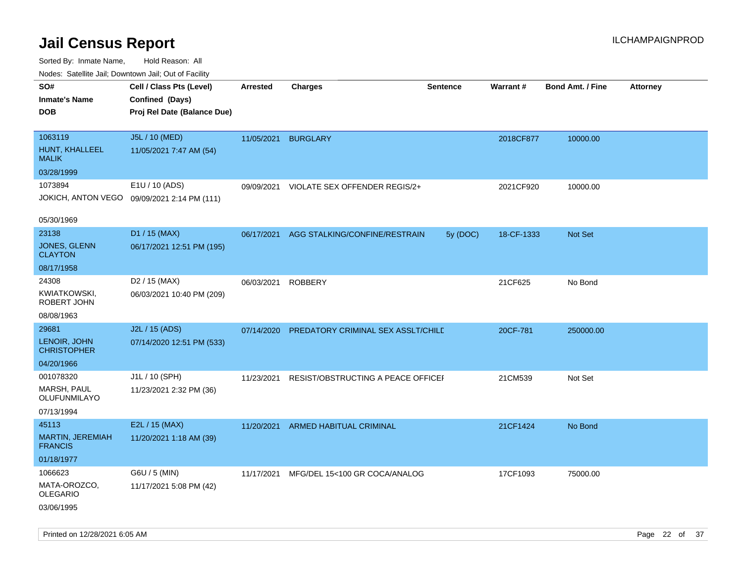| ivuutos. Saltiilit Jall, Duwilluwii Jall, Oul of Facility |                                             |                 |                                    |                 |            |                         |                 |
|-----------------------------------------------------------|---------------------------------------------|-----------------|------------------------------------|-----------------|------------|-------------------------|-----------------|
| SO#                                                       | Cell / Class Pts (Level)                    | <b>Arrested</b> | <b>Charges</b>                     | <b>Sentence</b> | Warrant#   | <b>Bond Amt. / Fine</b> | <b>Attorney</b> |
| <b>Inmate's Name</b>                                      | Confined (Days)                             |                 |                                    |                 |            |                         |                 |
| <b>DOB</b>                                                | Proj Rel Date (Balance Due)                 |                 |                                    |                 |            |                         |                 |
|                                                           |                                             |                 |                                    |                 |            |                         |                 |
| 1063119                                                   | J5L / 10 (MED)                              | 11/05/2021      | <b>BURGLARY</b>                    |                 | 2018CF877  | 10000.00                |                 |
| HUNT, KHALLEEL<br><b>MALIK</b>                            | 11/05/2021 7:47 AM (54)                     |                 |                                    |                 |            |                         |                 |
| 03/28/1999                                                |                                             |                 |                                    |                 |            |                         |                 |
| 1073894                                                   | E1U / 10 (ADS)                              | 09/09/2021      | VIOLATE SEX OFFENDER REGIS/2+      |                 | 2021CF920  | 10000.00                |                 |
|                                                           | JOKICH, ANTON VEGO 09/09/2021 2:14 PM (111) |                 |                                    |                 |            |                         |                 |
|                                                           |                                             |                 |                                    |                 |            |                         |                 |
| 05/30/1969                                                |                                             |                 |                                    |                 |            |                         |                 |
| 23138                                                     | D1 / 15 (MAX)                               | 06/17/2021      | AGG STALKING/CONFINE/RESTRAIN      | 5y (DOC)        | 18-CF-1333 | Not Set                 |                 |
| JONES, GLENN<br><b>CLAYTON</b>                            | 06/17/2021 12:51 PM (195)                   |                 |                                    |                 |            |                         |                 |
| 08/17/1958                                                |                                             |                 |                                    |                 |            |                         |                 |
| 24308                                                     | D <sub>2</sub> / 15 (MAX)                   | 06/03/2021      | <b>ROBBERY</b>                     |                 | 21CF625    | No Bond                 |                 |
| KWIATKOWSKI,<br>ROBERT JOHN                               | 06/03/2021 10:40 PM (209)                   |                 |                                    |                 |            |                         |                 |
| 08/08/1963                                                |                                             |                 |                                    |                 |            |                         |                 |
| 29681                                                     | J2L / 15 (ADS)                              | 07/14/2020      | PREDATORY CRIMINAL SEX ASSLT/CHILD |                 | 20CF-781   | 250000.00               |                 |
| LENOIR, JOHN<br><b>CHRISTOPHER</b>                        | 07/14/2020 12:51 PM (533)                   |                 |                                    |                 |            |                         |                 |
| 04/20/1966                                                |                                             |                 |                                    |                 |            |                         |                 |
| 001078320                                                 | J1L / 10 (SPH)                              | 11/23/2021      | RESIST/OBSTRUCTING A PEACE OFFICEI |                 | 21CM539    | Not Set                 |                 |
| <b>MARSH, PAUL</b><br>OLUFUNMILAYO                        | 11/23/2021 2:32 PM (36)                     |                 |                                    |                 |            |                         |                 |
| 07/13/1994                                                |                                             |                 |                                    |                 |            |                         |                 |
| 45113                                                     | E2L / 15 (MAX)                              | 11/20/2021      | ARMED HABITUAL CRIMINAL            |                 | 21CF1424   | No Bond                 |                 |
| MARTIN, JEREMIAH<br><b>FRANCIS</b>                        | 11/20/2021 1:18 AM (39)                     |                 |                                    |                 |            |                         |                 |
| 01/18/1977                                                |                                             |                 |                                    |                 |            |                         |                 |
| 1066623                                                   | G6U / 5 (MIN)                               | 11/17/2021      | MFG/DEL 15<100 GR COCA/ANALOG      |                 | 17CF1093   | 75000.00                |                 |
| MATA-OROZCO,<br><b>OLEGARIO</b>                           | 11/17/2021 5:08 PM (42)                     |                 |                                    |                 |            |                         |                 |
| 03/06/1995                                                |                                             |                 |                                    |                 |            |                         |                 |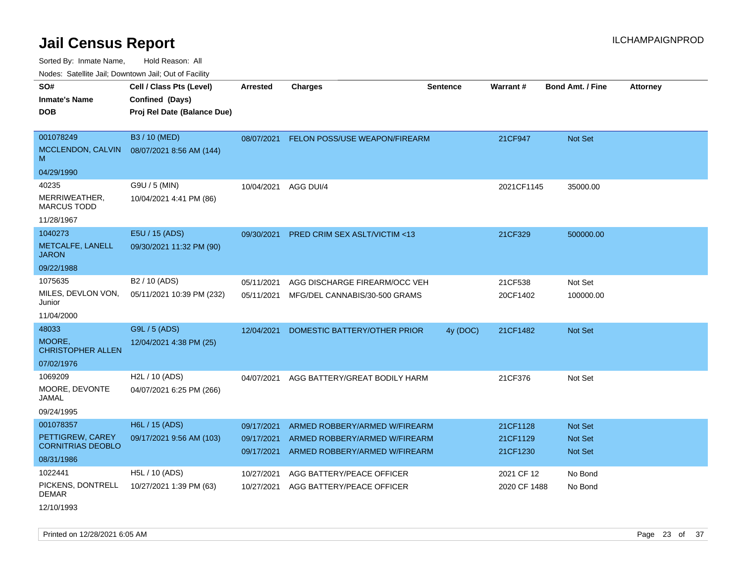Sorted By: Inmate Name, Hold Reason: All

Nodes: Satellite Jail; Downtown Jail; Out of Facility

| SO#<br><b>Inmate's Name</b><br><b>DOB</b>        | Cell / Class Pts (Level)<br>Confined (Days)<br>Proj Rel Date (Balance Due) | <b>Arrested</b>          | <b>Charges</b>                                                 | <b>Sentence</b> | <b>Warrant#</b>            | <b>Bond Amt. / Fine</b>          | <b>Attorney</b> |
|--------------------------------------------------|----------------------------------------------------------------------------|--------------------------|----------------------------------------------------------------|-----------------|----------------------------|----------------------------------|-----------------|
| 001078249<br>MCCLENDON, CALVIN<br>M              | B3 / 10 (MED)<br>08/07/2021 8:56 AM (144)                                  | 08/07/2021               | FELON POSS/USE WEAPON/FIREARM                                  |                 | 21CF947                    | Not Set                          |                 |
| 04/29/1990                                       |                                                                            |                          |                                                                |                 |                            |                                  |                 |
| 40235<br>MERRIWEATHER,<br><b>MARCUS TODD</b>     | G9U / 5 (MIN)<br>10/04/2021 4:41 PM (86)                                   | 10/04/2021               | AGG DUI/4                                                      |                 | 2021CF1145                 | 35000.00                         |                 |
| 11/28/1967                                       |                                                                            |                          |                                                                |                 |                            |                                  |                 |
| 1040273<br>METCALFE, LANELL<br><b>JARON</b>      | E5U / 15 (ADS)<br>09/30/2021 11:32 PM (90)                                 | 09/30/2021               | PRED CRIM SEX ASLT/VICTIM <13                                  |                 | 21CF329                    | 500000.00                        |                 |
| 09/22/1988                                       |                                                                            |                          |                                                                |                 |                            |                                  |                 |
| 1075635                                          | B <sub>2</sub> / 10 (ADS)                                                  | 05/11/2021               | AGG DISCHARGE FIREARM/OCC VEH                                  |                 | 21CF538                    | Not Set                          |                 |
| MILES, DEVLON VON,<br>Junior                     | 05/11/2021 10:39 PM (232)                                                  | 05/11/2021               | MFG/DEL CANNABIS/30-500 GRAMS                                  |                 | 20CF1402                   | 100000.00                        |                 |
| 11/04/2000                                       |                                                                            |                          |                                                                |                 |                            |                                  |                 |
| 48033                                            | G9L / 5 (ADS)                                                              | 12/04/2021               | DOMESTIC BATTERY/OTHER PRIOR                                   | 4y (DOC)        | 21CF1482                   | Not Set                          |                 |
| MOORE.<br><b>CHRISTOPHER ALLEN</b>               | 12/04/2021 4:38 PM (25)                                                    |                          |                                                                |                 |                            |                                  |                 |
| 07/02/1976                                       |                                                                            |                          |                                                                |                 |                            |                                  |                 |
| 1069209<br>MOORE, DEVONTE<br>JAMAL<br>09/24/1995 | H2L / 10 (ADS)<br>04/07/2021 6:25 PM (266)                                 | 04/07/2021               | AGG BATTERY/GREAT BODILY HARM                                  |                 | 21CF376                    | Not Set                          |                 |
| 001078357                                        | H6L / 15 (ADS)                                                             | 09/17/2021               | ARMED ROBBERY/ARMED W/FIREARM                                  |                 | 21CF1128                   | Not Set                          |                 |
| PETTIGREW, CAREY<br><b>CORNITRIAS DEOBLO</b>     | 09/17/2021 9:56 AM (103)                                                   | 09/17/2021<br>09/17/2021 | ARMED ROBBERY/ARMED W/FIREARM<br>ARMED ROBBERY/ARMED W/FIREARM |                 | 21CF1129<br>21CF1230       | <b>Not Set</b><br><b>Not Set</b> |                 |
| 08/31/1986                                       |                                                                            |                          |                                                                |                 |                            |                                  |                 |
| 1022441<br>PICKENS, DONTRELL<br><b>DEMAR</b>     | H5L / 10 (ADS)<br>10/27/2021 1:39 PM (63)                                  | 10/27/2021<br>10/27/2021 | AGG BATTERY/PEACE OFFICER<br>AGG BATTERY/PEACE OFFICER         |                 | 2021 CF 12<br>2020 CF 1488 | No Bond<br>No Bond               |                 |

12/10/1993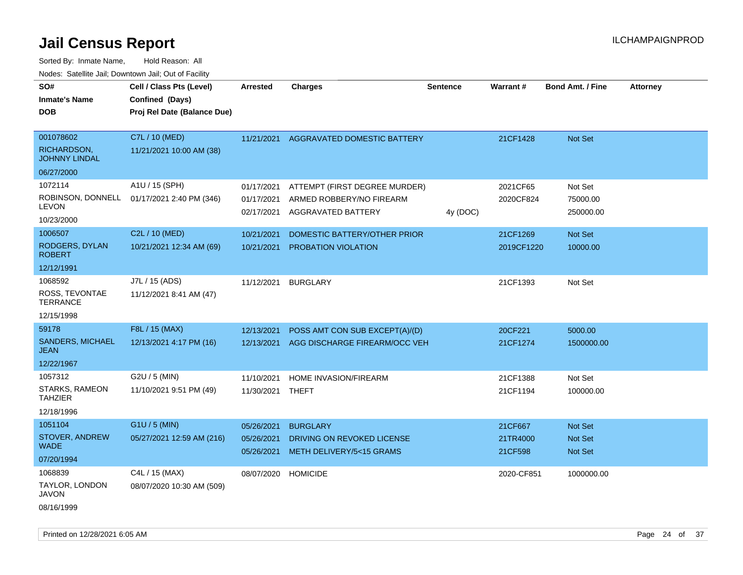Sorted By: Inmate Name, Hold Reason: All Nodes: Satellite Jail; Downtown Jail; Out of Facility

| rougs. Calcinic Jan, Downtown Jan, Out of Facility                     |                                                                            |                                        |                                                                                     |                 |                                |                                             |                 |
|------------------------------------------------------------------------|----------------------------------------------------------------------------|----------------------------------------|-------------------------------------------------------------------------------------|-----------------|--------------------------------|---------------------------------------------|-----------------|
| SO#<br><b>Inmate's Name</b><br><b>DOB</b>                              | Cell / Class Pts (Level)<br>Confined (Days)<br>Proj Rel Date (Balance Due) | Arrested                               | <b>Charges</b>                                                                      | <b>Sentence</b> | Warrant#                       | <b>Bond Amt. / Fine</b>                     | <b>Attorney</b> |
| 001078602<br>RICHARDSON,<br><b>JOHNNY LINDAL</b>                       | C7L / 10 (MED)<br>11/21/2021 10:00 AM (38)                                 | 11/21/2021                             | AGGRAVATED DOMESTIC BATTERY                                                         |                 | 21CF1428                       | Not Set                                     |                 |
| 06/27/2000                                                             |                                                                            |                                        |                                                                                     |                 |                                |                                             |                 |
| 1072114<br>ROBINSON, DONNELL<br>LEVON                                  | A1U / 15 (SPH)<br>01/17/2021 2:40 PM (346)                                 | 01/17/2021<br>01/17/2021<br>02/17/2021 | ATTEMPT (FIRST DEGREE MURDER)<br>ARMED ROBBERY/NO FIREARM<br>AGGRAVATED BATTERY     | 4y (DOC)        | 2021CF65<br>2020CF824          | Not Set<br>75000.00<br>250000.00            |                 |
| 10/23/2000<br>1006507<br>RODGERS, DYLAN<br><b>ROBERT</b><br>12/12/1991 | C2L / 10 (MED)<br>10/21/2021 12:34 AM (69)                                 | 10/21/2021<br>10/21/2021               | DOMESTIC BATTERY/OTHER PRIOR<br><b>PROBATION VIOLATION</b>                          |                 | 21CF1269<br>2019CF1220         | <b>Not Set</b><br>10000.00                  |                 |
| 1068592<br>ROSS, TEVONTAE<br><b>TERRANCE</b><br>12/15/1998             | J7L / 15 (ADS)<br>11/12/2021 8:41 AM (47)                                  | 11/12/2021                             | <b>BURGLARY</b>                                                                     |                 | 21CF1393                       | Not Set                                     |                 |
| 59178<br><b>SANDERS, MICHAEL</b><br>JEAN<br>12/22/1967                 | F8L / 15 (MAX)<br>12/13/2021 4:17 PM (16)                                  | 12/13/2021<br>12/13/2021               | POSS AMT CON SUB EXCEPT(A)/(D)<br>AGG DISCHARGE FIREARM/OCC VEH                     |                 | 20CF221<br>21CF1274            | 5000.00<br>1500000.00                       |                 |
| 1057312<br>STARKS, RAMEON<br><b>TAHZIER</b><br>12/18/1996              | G2U / 5 (MIN)<br>11/10/2021 9:51 PM (49)                                   | 11/10/2021<br>11/30/2021 THEFT         | <b>HOME INVASION/FIREARM</b>                                                        |                 | 21CF1388<br>21CF1194           | Not Set<br>100000.00                        |                 |
| 1051104<br><b>STOVER, ANDREW</b><br>WADE<br>07/20/1994                 | G1U / 5 (MIN)<br>05/27/2021 12:59 AM (216)                                 | 05/26/2021<br>05/26/2021<br>05/26/2021 | <b>BURGLARY</b><br>DRIVING ON REVOKED LICENSE<br><b>METH DELIVERY/5&lt;15 GRAMS</b> |                 | 21CF667<br>21TR4000<br>21CF598 | <b>Not Set</b><br>Not Set<br><b>Not Set</b> |                 |
| 1068839<br>TAYLOR, LONDON<br>JAVON                                     | C4L / 15 (MAX)<br>08/07/2020 10:30 AM (509)                                | 08/07/2020 HOMICIDE                    |                                                                                     |                 | 2020-CF851                     | 1000000.00                                  |                 |

08/16/1999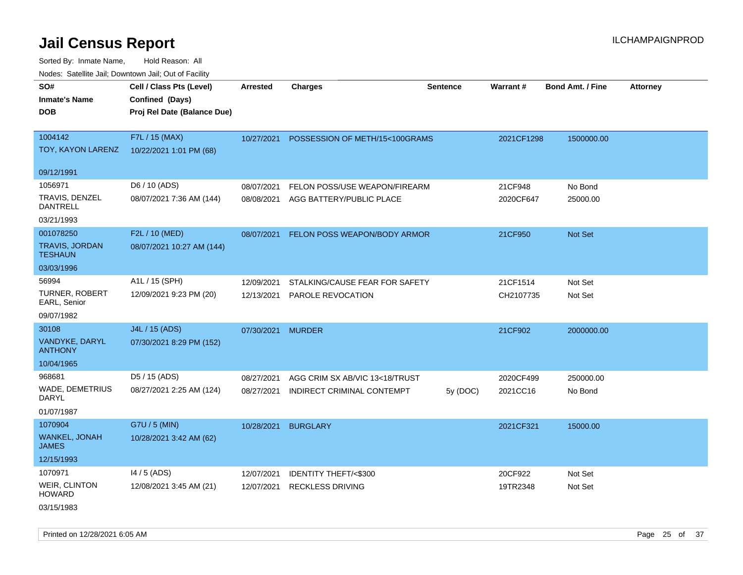Sorted By: Inmate Name, Hold Reason: All Nodes: Satellite Jail; Downtown Jail; Out of Facility

| roaco. Catolino cali, Domntonn cali, Out of Facility |                             |            |                                |                 |            |                         |                 |
|------------------------------------------------------|-----------------------------|------------|--------------------------------|-----------------|------------|-------------------------|-----------------|
| SO#                                                  | Cell / Class Pts (Level)    | Arrested   | <b>Charges</b>                 | <b>Sentence</b> | Warrant#   | <b>Bond Amt. / Fine</b> | <b>Attorney</b> |
| <b>Inmate's Name</b>                                 | Confined (Days)             |            |                                |                 |            |                         |                 |
| <b>DOB</b>                                           | Proj Rel Date (Balance Due) |            |                                |                 |            |                         |                 |
|                                                      |                             |            |                                |                 |            |                         |                 |
| 1004142                                              | F7L / 15 (MAX)              | 10/27/2021 | POSSESSION OF METH/15<100GRAMS |                 | 2021CF1298 | 1500000.00              |                 |
| TOY, KAYON LARENZ                                    | 10/22/2021 1:01 PM (68)     |            |                                |                 |            |                         |                 |
|                                                      |                             |            |                                |                 |            |                         |                 |
| 09/12/1991                                           |                             |            |                                |                 |            |                         |                 |
| 1056971                                              | D6 / 10 (ADS)               | 08/07/2021 | FELON POSS/USE WEAPON/FIREARM  |                 | 21CF948    | No Bond                 |                 |
| TRAVIS, DENZEL<br><b>DANTRELL</b>                    | 08/07/2021 7:36 AM (144)    | 08/08/2021 | AGG BATTERY/PUBLIC PLACE       |                 | 2020CF647  | 25000.00                |                 |
| 03/21/1993                                           |                             |            |                                |                 |            |                         |                 |
| 001078250                                            | F2L / 10 (MED)              | 08/07/2021 | FELON POSS WEAPON/BODY ARMOR   |                 | 21CF950    | Not Set                 |                 |
| <b>TRAVIS, JORDAN</b><br><b>TESHAUN</b>              | 08/07/2021 10:27 AM (144)   |            |                                |                 |            |                         |                 |
| 03/03/1996                                           |                             |            |                                |                 |            |                         |                 |
| 56994                                                | A1L / 15 (SPH)              | 12/09/2021 | STALKING/CAUSE FEAR FOR SAFETY |                 | 21CF1514   | Not Set                 |                 |
| <b>TURNER, ROBERT</b><br>EARL, Senior                | 12/09/2021 9:23 PM (20)     | 12/13/2021 | PAROLE REVOCATION              |                 | CH2107735  | Not Set                 |                 |
| 09/07/1982                                           |                             |            |                                |                 |            |                         |                 |
| 30108                                                | J4L / 15 (ADS)              | 07/30/2021 | <b>MURDER</b>                  |                 | 21CF902    | 2000000.00              |                 |
| VANDYKE, DARYL<br><b>ANTHONY</b>                     | 07/30/2021 8:29 PM (152)    |            |                                |                 |            |                         |                 |
| 10/04/1965                                           |                             |            |                                |                 |            |                         |                 |
| 968681                                               | D <sub>5</sub> / 15 (ADS)   | 08/27/2021 | AGG CRIM SX AB/VIC 13<18/TRUST |                 | 2020CF499  | 250000.00               |                 |
| <b>WADE, DEMETRIUS</b><br><b>DARYL</b>               | 08/27/2021 2:25 AM (124)    | 08/27/2021 | INDIRECT CRIMINAL CONTEMPT     | 5y (DOC)        | 2021CC16   | No Bond                 |                 |
| 01/07/1987                                           |                             |            |                                |                 |            |                         |                 |
| 1070904                                              | G7U / 5 (MIN)               | 10/28/2021 | <b>BURGLARY</b>                |                 | 2021CF321  | 15000.00                |                 |
| <b>WANKEL, JONAH</b><br><b>JAMES</b>                 | 10/28/2021 3:42 AM (62)     |            |                                |                 |            |                         |                 |
| 12/15/1993                                           |                             |            |                                |                 |            |                         |                 |
| 1070971                                              | $14/5$ (ADS)                | 12/07/2021 | IDENTITY THEFT/<\$300          |                 | 20CF922    | Not Set                 |                 |
| <b>WEIR, CLINTON</b><br><b>HOWARD</b>                | 12/08/2021 3:45 AM (21)     | 12/07/2021 | <b>RECKLESS DRIVING</b>        |                 | 19TR2348   | Not Set                 |                 |
| 03/15/1983                                           |                             |            |                                |                 |            |                         |                 |

Printed on 12/28/2021 6:05 AM Page 25 of 37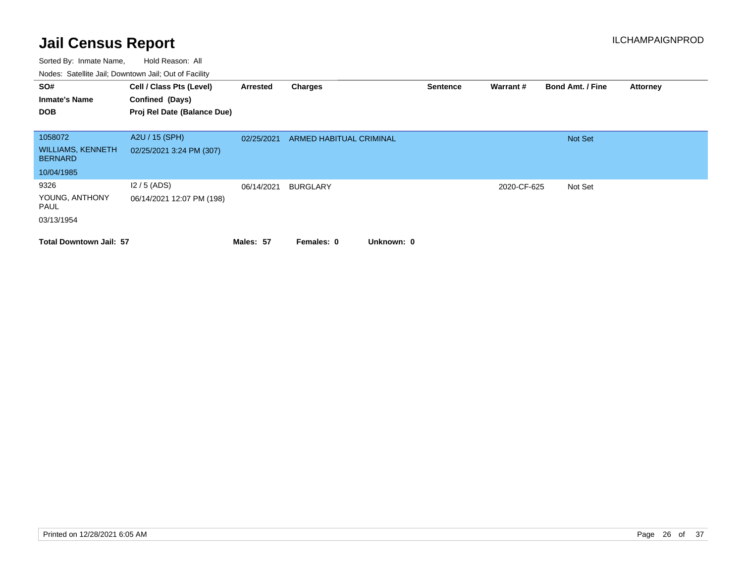| SO#                                        | Cell / Class Pts (Level)    | Arrested   | Charges                        | <b>Sentence</b> | Warrant#    | <b>Bond Amt. / Fine</b> | <b>Attorney</b> |
|--------------------------------------------|-----------------------------|------------|--------------------------------|-----------------|-------------|-------------------------|-----------------|
| <b>Inmate's Name</b>                       | Confined (Days)             |            |                                |                 |             |                         |                 |
| <b>DOB</b>                                 | Proj Rel Date (Balance Due) |            |                                |                 |             |                         |                 |
|                                            |                             |            |                                |                 |             |                         |                 |
| 1058072                                    | A2U / 15 (SPH)              | 02/25/2021 | <b>ARMED HABITUAL CRIMINAL</b> |                 |             | <b>Not Set</b>          |                 |
| <b>WILLIAMS, KENNETH</b><br><b>BERNARD</b> | 02/25/2021 3:24 PM (307)    |            |                                |                 |             |                         |                 |
| 10/04/1985                                 |                             |            |                                |                 |             |                         |                 |
| 9326                                       | $12/5$ (ADS)                | 06/14/2021 | <b>BURGLARY</b>                |                 | 2020-CF-625 | Not Set                 |                 |
| YOUNG, ANTHONY<br>PAUL                     | 06/14/2021 12:07 PM (198)   |            |                                |                 |             |                         |                 |
| 03/13/1954                                 |                             |            |                                |                 |             |                         |                 |
| <b>Total Downtown Jail: 57</b>             |                             | Males: 57  | Unknown: 0<br>Females: 0       |                 |             |                         |                 |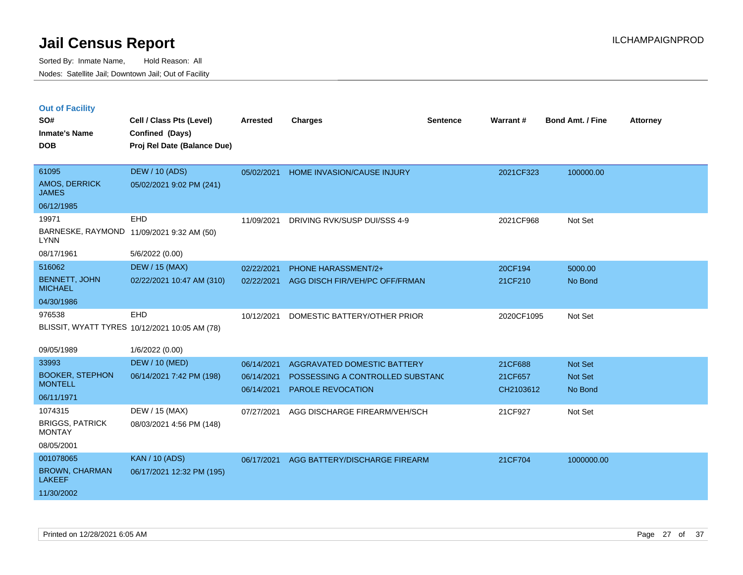| <b>Out of Facility</b> |  |  |
|------------------------|--|--|
|                        |  |  |

| SO#<br><b>Inmate's Name</b><br><b>DOB</b>                         | Cell / Class Pts (Level)<br>Confined (Days)<br>Proj Rel Date (Balance Due) | <b>Arrested</b>                        | <b>Charges</b>                                                                       | <b>Sentence</b> | Warrant#                        | <b>Bond Amt. / Fine</b>       | <b>Attorney</b> |
|-------------------------------------------------------------------|----------------------------------------------------------------------------|----------------------------------------|--------------------------------------------------------------------------------------|-----------------|---------------------------------|-------------------------------|-----------------|
| 61095<br>AMOS, DERRICK<br><b>JAMES</b>                            | <b>DEW / 10 (ADS)</b><br>05/02/2021 9:02 PM (241)                          | 05/02/2021                             | HOME INVASION/CAUSE INJURY                                                           |                 | 2021CF323                       | 100000.00                     |                 |
| 06/12/1985<br>19971<br><b>LYNN</b><br>08/17/1961                  | <b>EHD</b><br>BARNESKE, RAYMOND 11/09/2021 9:32 AM (50)<br>5/6/2022 (0.00) | 11/09/2021                             | DRIVING RVK/SUSP DUI/SSS 4-9                                                         |                 | 2021CF968                       | Not Set                       |                 |
| 516062<br><b>BENNETT, JOHN</b><br><b>MICHAEL</b><br>04/30/1986    | <b>DEW / 15 (MAX)</b><br>02/22/2021 10:47 AM (310)                         | 02/22/2021<br>02/22/2021               | PHONE HARASSMENT/2+<br>AGG DISCH FIR/VEH/PC OFF/FRMAN                                |                 | 20CF194<br>21CF210              | 5000.00<br>No Bond            |                 |
| 976538<br>09/05/1989                                              | EHD<br>BLISSIT, WYATT TYRES 10/12/2021 10:05 AM (78)<br>1/6/2022 (0.00)    | 10/12/2021                             | DOMESTIC BATTERY/OTHER PRIOR                                                         |                 | 2020CF1095                      | Not Set                       |                 |
| 33993<br><b>BOOKER, STEPHON</b><br><b>MONTELL</b><br>06/11/1971   | <b>DEW / 10 (MED)</b><br>06/14/2021 7:42 PM (198)                          | 06/14/2021<br>06/14/2021<br>06/14/2021 | AGGRAVATED DOMESTIC BATTERY<br>POSSESSING A CONTROLLED SUBSTANC<br>PAROLE REVOCATION |                 | 21CF688<br>21CF657<br>CH2103612 | Not Set<br>Not Set<br>No Bond |                 |
| 1074315<br><b>BRIGGS, PATRICK</b><br><b>MONTAY</b><br>08/05/2001  | DEW / 15 (MAX)<br>08/03/2021 4:56 PM (148)                                 | 07/27/2021                             | AGG DISCHARGE FIREARM/VEH/SCH                                                        |                 | 21CF927                         | Not Set                       |                 |
| 001078065<br><b>BROWN, CHARMAN</b><br><b>LAKEEF</b><br>11/30/2002 | <b>KAN / 10 (ADS)</b><br>06/17/2021 12:32 PM (195)                         | 06/17/2021                             | AGG BATTERY/DISCHARGE FIREARM                                                        |                 | 21CF704                         | 1000000.00                    |                 |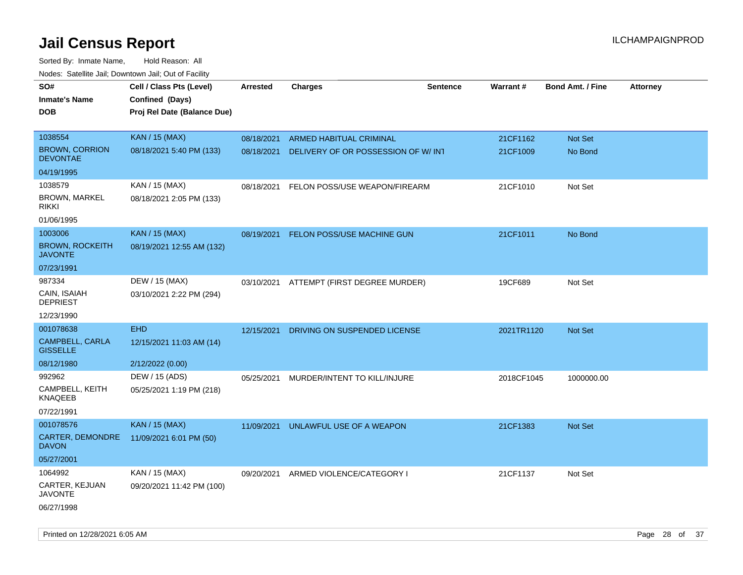Sorted By: Inmate Name, Hold Reason: All Nodes: Satellite Jail; Downtown Jail; Out of Facility

| noaco. Catomto can, Domntonn can, Cat or I domt<br>SO#<br><b>Inmate's Name</b><br><b>DOB</b> | Cell / Class Pts (Level)<br>Confined (Days)<br>Proj Rel Date (Balance Due) | Arrested   | <b>Charges</b>                     | <b>Sentence</b> | Warrant#   | <b>Bond Amt. / Fine</b> | <b>Attorney</b> |
|----------------------------------------------------------------------------------------------|----------------------------------------------------------------------------|------------|------------------------------------|-----------------|------------|-------------------------|-----------------|
|                                                                                              |                                                                            |            |                                    |                 |            |                         |                 |
| 1038554                                                                                      | <b>KAN / 15 (MAX)</b>                                                      | 08/18/2021 | <b>ARMED HABITUAL CRIMINAL</b>     |                 | 21CF1162   | Not Set                 |                 |
| <b>BROWN, CORRION</b><br><b>DEVONTAE</b>                                                     | 08/18/2021 5:40 PM (133)                                                   | 08/18/2021 | DELIVERY OF OR POSSESSION OF W/INT |                 | 21CF1009   | No Bond                 |                 |
| 04/19/1995                                                                                   |                                                                            |            |                                    |                 |            |                         |                 |
| 1038579                                                                                      | KAN / 15 (MAX)                                                             | 08/18/2021 | FELON POSS/USE WEAPON/FIREARM      |                 | 21CF1010   | Not Set                 |                 |
| <b>BROWN, MARKEL</b><br><b>RIKKI</b>                                                         | 08/18/2021 2:05 PM (133)                                                   |            |                                    |                 |            |                         |                 |
| 01/06/1995                                                                                   |                                                                            |            |                                    |                 |            |                         |                 |
| 1003006                                                                                      | <b>KAN / 15 (MAX)</b>                                                      | 08/19/2021 | FELON POSS/USE MACHINE GUN         |                 | 21CF1011   | No Bond                 |                 |
| <b>BROWN, ROCKEITH</b><br><b>JAVONTE</b>                                                     | 08/19/2021 12:55 AM (132)                                                  |            |                                    |                 |            |                         |                 |
| 07/23/1991                                                                                   |                                                                            |            |                                    |                 |            |                         |                 |
| 987334                                                                                       | DEW / 15 (MAX)                                                             | 03/10/2021 | ATTEMPT (FIRST DEGREE MURDER)      |                 | 19CF689    | Not Set                 |                 |
| CAIN, ISAIAH<br><b>DEPRIEST</b>                                                              | 03/10/2021 2:22 PM (294)                                                   |            |                                    |                 |            |                         |                 |
| 12/23/1990                                                                                   |                                                                            |            |                                    |                 |            |                         |                 |
| 001078638                                                                                    | <b>EHD</b>                                                                 | 12/15/2021 | DRIVING ON SUSPENDED LICENSE       |                 | 2021TR1120 | Not Set                 |                 |
| <b>CAMPBELL, CARLA</b><br><b>GISSELLE</b>                                                    | 12/15/2021 11:03 AM (14)                                                   |            |                                    |                 |            |                         |                 |
| 08/12/1980                                                                                   | 2/12/2022 (0.00)                                                           |            |                                    |                 |            |                         |                 |
| 992962                                                                                       | DEW / 15 (ADS)                                                             | 05/25/2021 | MURDER/INTENT TO KILL/INJURE       |                 | 2018CF1045 | 1000000.00              |                 |
| CAMPBELL, KEITH<br><b>KNAQEEB</b>                                                            | 05/25/2021 1:19 PM (218)                                                   |            |                                    |                 |            |                         |                 |
| 07/22/1991                                                                                   |                                                                            |            |                                    |                 |            |                         |                 |
| 001078576                                                                                    | <b>KAN / 15 (MAX)</b>                                                      | 11/09/2021 | UNLAWFUL USE OF A WEAPON           |                 | 21CF1383   | <b>Not Set</b>          |                 |
| CARTER, DEMONDRE<br><b>DAVON</b>                                                             | 11/09/2021 6:01 PM (50)                                                    |            |                                    |                 |            |                         |                 |
| 05/27/2001                                                                                   |                                                                            |            |                                    |                 |            |                         |                 |
| 1064992                                                                                      | KAN / 15 (MAX)                                                             | 09/20/2021 | ARMED VIOLENCE/CATEGORY I          |                 | 21CF1137   | Not Set                 |                 |
| CARTER, KEJUAN<br><b>JAVONTE</b>                                                             | 09/20/2021 11:42 PM (100)                                                  |            |                                    |                 |            |                         |                 |
| 06/27/1998                                                                                   |                                                                            |            |                                    |                 |            |                         |                 |

Printed on 12/28/2021 6:05 AM Page 28 of 37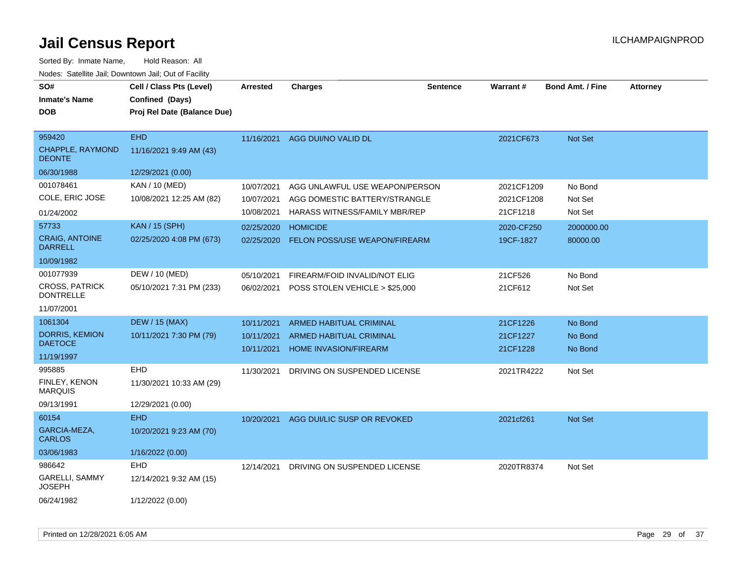| SO#                                       | Cell / Class Pts (Level)    | <b>Arrested</b> | <b>Charges</b>                 | <b>Sentence</b> | Warrant#   | <b>Bond Amt. / Fine</b> | <b>Attorney</b> |
|-------------------------------------------|-----------------------------|-----------------|--------------------------------|-----------------|------------|-------------------------|-----------------|
| <b>Inmate's Name</b>                      | Confined (Days)             |                 |                                |                 |            |                         |                 |
| <b>DOB</b>                                | Proj Rel Date (Balance Due) |                 |                                |                 |            |                         |                 |
| 959420                                    | <b>EHD</b>                  |                 |                                |                 |            |                         |                 |
| CHAPPLE, RAYMOND<br><b>DEONTE</b>         | 11/16/2021 9:49 AM (43)     |                 | 11/16/2021 AGG DUI/NO VALID DL |                 | 2021CF673  | Not Set                 |                 |
| 06/30/1988                                | 12/29/2021 (0.00)           |                 |                                |                 |            |                         |                 |
| 001078461                                 | KAN / 10 (MED)              | 10/07/2021      | AGG UNLAWFUL USE WEAPON/PERSON |                 | 2021CF1209 | No Bond                 |                 |
| COLE, ERIC JOSE                           | 10/08/2021 12:25 AM (82)    | 10/07/2021      | AGG DOMESTIC BATTERY/STRANGLE  |                 | 2021CF1208 | Not Set                 |                 |
| 01/24/2002                                |                             | 10/08/2021      | HARASS WITNESS/FAMILY MBR/REP  |                 | 21CF1218   | Not Set                 |                 |
| 57733                                     | <b>KAN / 15 (SPH)</b>       | 02/25/2020      | <b>HOMICIDE</b>                |                 | 2020-CF250 | 2000000.00              |                 |
| <b>CRAIG, ANTOINE</b><br><b>DARRELL</b>   | 02/25/2020 4:08 PM (673)    | 02/25/2020      | FELON POSS/USE WEAPON/FIREARM  |                 | 19CF-1827  | 80000.00                |                 |
| 10/09/1982                                |                             |                 |                                |                 |            |                         |                 |
| 001077939                                 | DEW / 10 (MED)              | 05/10/2021      | FIREARM/FOID INVALID/NOT ELIG  |                 | 21CF526    | No Bond                 |                 |
| <b>CROSS, PATRICK</b><br><b>DONTRELLE</b> | 05/10/2021 7:31 PM (233)    | 06/02/2021      | POSS STOLEN VEHICLE > \$25,000 |                 | 21CF612    | Not Set                 |                 |
| 11/07/2001                                |                             |                 |                                |                 |            |                         |                 |
| 1061304                                   | <b>DEW / 15 (MAX)</b>       | 10/11/2021      | <b>ARMED HABITUAL CRIMINAL</b> |                 | 21CF1226   | No Bond                 |                 |
| <b>DORRIS, KEMION</b>                     | 10/11/2021 7:30 PM (79)     | 10/11/2021      | ARMED HABITUAL CRIMINAL        |                 | 21CF1227   | No Bond                 |                 |
| <b>DAETOCE</b>                            |                             | 10/11/2021      | HOME INVASION/FIREARM          |                 | 21CF1228   | No Bond                 |                 |
| 11/19/1997                                | EHD                         |                 |                                |                 |            |                         |                 |
| 995885<br><b>FINLEY, KENON</b>            | 11/30/2021 10:33 AM (29)    | 11/30/2021      | DRIVING ON SUSPENDED LICENSE   |                 | 2021TR4222 | Not Set                 |                 |
| <b>MARQUIS</b>                            |                             |                 |                                |                 |            |                         |                 |
| 09/13/1991                                | 12/29/2021 (0.00)           |                 |                                |                 |            |                         |                 |
| 60154                                     | <b>EHD</b>                  | 10/20/2021      | AGG DUI/LIC SUSP OR REVOKED    |                 | 2021cf261  | Not Set                 |                 |
| GARCIA-MEZA,<br><b>CARLOS</b>             | 10/20/2021 9:23 AM (70)     |                 |                                |                 |            |                         |                 |
| 03/06/1983                                | 1/16/2022 (0.00)            |                 |                                |                 |            |                         |                 |
| 986642                                    | EHD                         | 12/14/2021      | DRIVING ON SUSPENDED LICENSE   |                 | 2020TR8374 | Not Set                 |                 |
| <b>GARELLI, SAMMY</b><br><b>JOSEPH</b>    | 12/14/2021 9:32 AM (15)     |                 |                                |                 |            |                         |                 |
| 06/24/1982                                | 1/12/2022 (0.00)            |                 |                                |                 |            |                         |                 |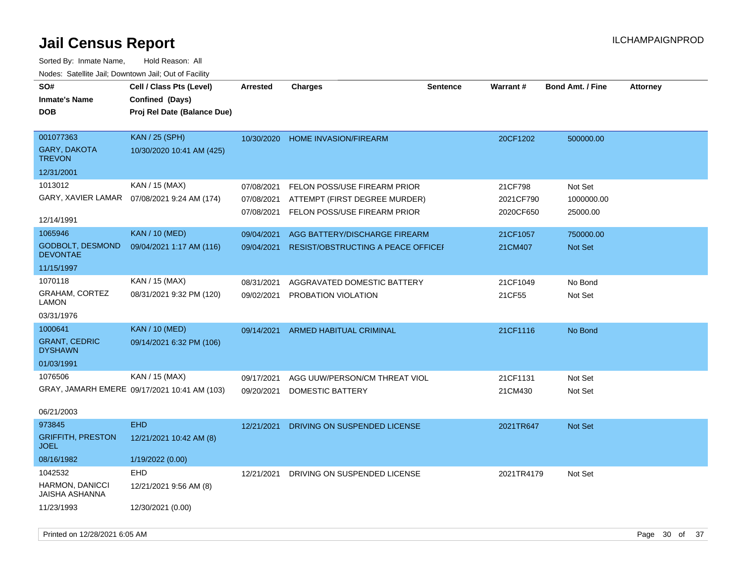| SO#<br><b>Inmate's Name</b><br><b>DOB</b>  | Cell / Class Pts (Level)<br>Confined (Days)<br>Proj Rel Date (Balance Due) | <b>Arrested</b> | Charges                                   | <b>Sentence</b> | <b>Warrant#</b> | <b>Bond Amt. / Fine</b> | <b>Attorney</b> |
|--------------------------------------------|----------------------------------------------------------------------------|-----------------|-------------------------------------------|-----------------|-----------------|-------------------------|-----------------|
| 001077363<br>GARY, DAKOTA<br><b>TREVON</b> | KAN / 25 (SPH)<br>10/30/2020 10:41 AM (425)                                |                 | 10/30/2020 HOME INVASION/FIREARM          |                 | 20CF1202        | 500000.00               |                 |
| 12/31/2001                                 |                                                                            |                 |                                           |                 |                 |                         |                 |
| 1013012                                    | KAN / 15 (MAX)                                                             | 07/08/2021      | FELON POSS/USE FIREARM PRIOR              |                 | 21CF798         | Not Set                 |                 |
| GARY, XAVIER LAMAR                         | 07/08/2021 9:24 AM (174)                                                   | 07/08/2021      | ATTEMPT (FIRST DEGREE MURDER)             |                 | 2021CF790       | 1000000.00              |                 |
| 12/14/1991                                 |                                                                            | 07/08/2021      | FELON POSS/USE FIREARM PRIOR              |                 | 2020CF650       | 25000.00                |                 |
| 1065946                                    | <b>KAN / 10 (MED)</b>                                                      | 09/04/2021      | AGG BATTERY/DISCHARGE FIREARM             |                 | 21CF1057        | 750000.00               |                 |
| <b>GODBOLT, DESMOND</b><br><b>DEVONTAE</b> | 09/04/2021 1:17 AM (116)                                                   | 09/04/2021      | <b>RESIST/OBSTRUCTING A PEACE OFFICEF</b> |                 | 21CM407         | <b>Not Set</b>          |                 |
| 11/15/1997                                 |                                                                            |                 |                                           |                 |                 |                         |                 |
| 1070118                                    | KAN / 15 (MAX)                                                             | 08/31/2021      | AGGRAVATED DOMESTIC BATTERY               |                 | 21CF1049        | No Bond                 |                 |
| GRAHAM, CORTEZ<br><b>LAMON</b>             | 08/31/2021 9:32 PM (120)                                                   | 09/02/2021      | PROBATION VIOLATION                       |                 | 21CF55          | Not Set                 |                 |
| 03/31/1976                                 |                                                                            |                 |                                           |                 |                 |                         |                 |
| 1000641                                    | <b>KAN / 10 (MED)</b>                                                      | 09/14/2021      | ARMED HABITUAL CRIMINAL                   |                 | 21CF1116        | No Bond                 |                 |
| <b>GRANT, CEDRIC</b><br><b>DYSHAWN</b>     | 09/14/2021 6:32 PM (106)                                                   |                 |                                           |                 |                 |                         |                 |
| 01/03/1991                                 |                                                                            |                 |                                           |                 |                 |                         |                 |
| 1076506                                    | KAN / 15 (MAX)                                                             | 09/17/2021      | AGG UUW/PERSON/CM THREAT VIOL             |                 | 21CF1131        | Not Set                 |                 |
|                                            | GRAY, JAMARH EMERE 09/17/2021 10:41 AM (103)                               | 09/20/2021      | <b>DOMESTIC BATTERY</b>                   |                 | 21CM430         | Not Set                 |                 |
| 06/21/2003                                 |                                                                            |                 |                                           |                 |                 |                         |                 |
| 973845                                     | <b>EHD</b>                                                                 | 12/21/2021      | DRIVING ON SUSPENDED LICENSE              |                 | 2021TR647       | <b>Not Set</b>          |                 |
| <b>GRIFFITH, PRESTON</b><br><b>JOEL</b>    | 12/21/2021 10:42 AM (8)                                                    |                 |                                           |                 |                 |                         |                 |
| 08/16/1982                                 | 1/19/2022 (0.00)                                                           |                 |                                           |                 |                 |                         |                 |
| 1042532                                    | <b>EHD</b>                                                                 | 12/21/2021      | DRIVING ON SUSPENDED LICENSE              |                 | 2021TR4179      | Not Set                 |                 |
| HARMON, DANICCI<br>JAISHA ASHANNA          | 12/21/2021 9:56 AM (8)                                                     |                 |                                           |                 |                 |                         |                 |
| 11/23/1993                                 | 12/30/2021 (0.00)                                                          |                 |                                           |                 |                 |                         |                 |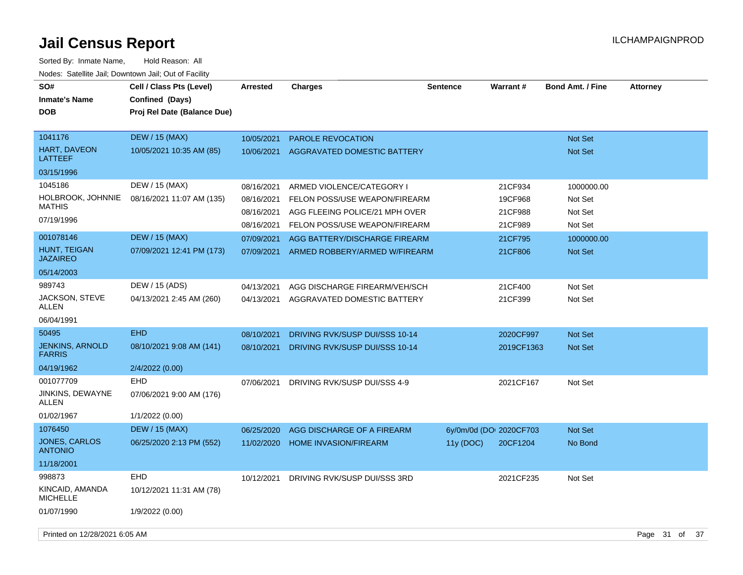| SO#<br><b>Inmate's Name</b><br><b>DOB</b> | Cell / Class Pts (Level)<br>Confined (Days)<br>Proj Rel Date (Balance Due) | <b>Arrested</b> | <b>Charges</b>                 | <b>Sentence</b>         | <b>Warrant#</b> | <b>Bond Amt. / Fine</b> | <b>Attorney</b> |
|-------------------------------------------|----------------------------------------------------------------------------|-----------------|--------------------------------|-------------------------|-----------------|-------------------------|-----------------|
| 1041176                                   | <b>DEW / 15 (MAX)</b>                                                      | 10/05/2021      | <b>PAROLE REVOCATION</b>       |                         |                 | <b>Not Set</b>          |                 |
| HART, DAVEON<br>LATTEEF                   | 10/05/2021 10:35 AM (85)                                                   | 10/06/2021      | AGGRAVATED DOMESTIC BATTERY    |                         |                 | <b>Not Set</b>          |                 |
| 03/15/1996                                |                                                                            |                 |                                |                         |                 |                         |                 |
| 1045186                                   | DEW / 15 (MAX)                                                             | 08/16/2021      | ARMED VIOLENCE/CATEGORY I      |                         | 21CF934         | 1000000.00              |                 |
| HOLBROOK, JOHNNIE<br><b>MATHIS</b>        | 08/16/2021 11:07 AM (135)                                                  | 08/16/2021      | FELON POSS/USE WEAPON/FIREARM  |                         | 19CF968         | Not Set                 |                 |
| 07/19/1996                                |                                                                            | 08/16/2021      | AGG FLEEING POLICE/21 MPH OVER |                         | 21CF988         | Not Set                 |                 |
|                                           |                                                                            | 08/16/2021      | FELON POSS/USE WEAPON/FIREARM  |                         | 21CF989         | Not Set                 |                 |
| 001078146                                 | <b>DEW / 15 (MAX)</b>                                                      | 07/09/2021      | AGG BATTERY/DISCHARGE FIREARM  |                         | 21CF795         | 1000000.00              |                 |
| HUNT, TEIGAN<br><b>JAZAIREO</b>           | 07/09/2021 12:41 PM (173)                                                  | 07/09/2021      | ARMED ROBBERY/ARMED W/FIREARM  |                         | 21CF806         | Not Set                 |                 |
| 05/14/2003                                |                                                                            |                 |                                |                         |                 |                         |                 |
| 989743                                    | DEW / 15 (ADS)                                                             | 04/13/2021      | AGG DISCHARGE FIREARM/VEH/SCH  |                         | 21CF400         | Not Set                 |                 |
| JACKSON, STEVE<br>ALLEN                   | 04/13/2021 2:45 AM (260)                                                   | 04/13/2021      | AGGRAVATED DOMESTIC BATTERY    |                         | 21CF399         | Not Set                 |                 |
| 06/04/1991                                |                                                                            |                 |                                |                         |                 |                         |                 |
| 50495                                     | <b>EHD</b>                                                                 | 08/10/2021      | DRIVING RVK/SUSP DUI/SSS 10-14 |                         | 2020CF997       | Not Set                 |                 |
| <b>JENKINS, ARNOLD</b><br><b>FARRIS</b>   | 08/10/2021 9:08 AM (141)                                                   | 08/10/2021      | DRIVING RVK/SUSP DUI/SSS 10-14 |                         | 2019CF1363      | Not Set                 |                 |
| 04/19/1962                                | 2/4/2022 (0.00)                                                            |                 |                                |                         |                 |                         |                 |
| 001077709                                 | EHD                                                                        | 07/06/2021      | DRIVING RVK/SUSP DUI/SSS 4-9   |                         | 2021CF167       | Not Set                 |                 |
| JINKINS, DEWAYNE<br>ALLEN                 | 07/06/2021 9:00 AM (176)                                                   |                 |                                |                         |                 |                         |                 |
| 01/02/1967                                | 1/1/2022 (0.00)                                                            |                 |                                |                         |                 |                         |                 |
| 1076450                                   | <b>DEW / 15 (MAX)</b>                                                      | 06/25/2020      | AGG DISCHARGE OF A FIREARM     | 6y/0m/0d (DOI 2020CF703 |                 | Not Set                 |                 |
| JONES, CARLOS<br><b>ANTONIO</b>           | 06/25/2020 2:13 PM (552)                                                   | 11/02/2020      | <b>HOME INVASION/FIREARM</b>   | 11y(DOC)                | 20CF1204        | No Bond                 |                 |
| 11/18/2001                                |                                                                            |                 |                                |                         |                 |                         |                 |
| 998873                                    | <b>EHD</b>                                                                 | 10/12/2021      | DRIVING RVK/SUSP DUI/SSS 3RD   |                         | 2021CF235       | Not Set                 |                 |
| KINCAID, AMANDA<br><b>MICHELLE</b>        | 10/12/2021 11:31 AM (78)                                                   |                 |                                |                         |                 |                         |                 |
| 01/07/1990                                | 1/9/2022 (0.00)                                                            |                 |                                |                         |                 |                         |                 |
| Printed on 12/28/2021 6:05 AM             |                                                                            |                 |                                |                         |                 |                         | Page 31 of 37   |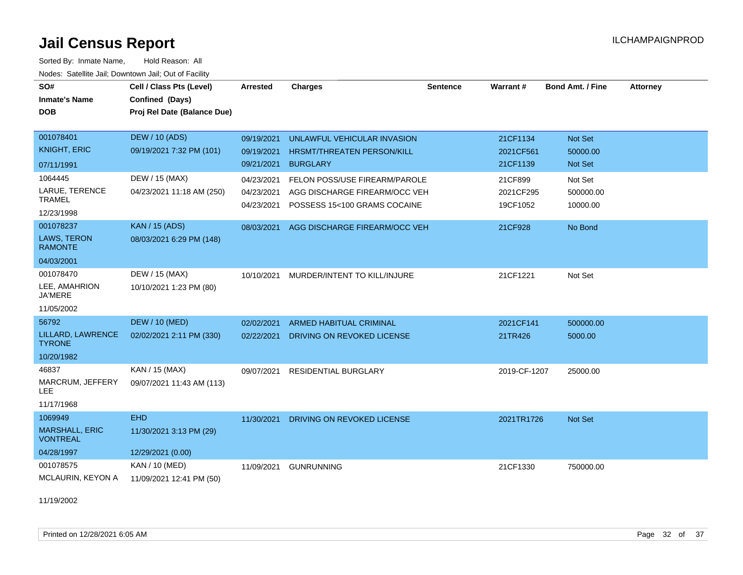Sorted By: Inmate Name, Hold Reason: All Nodes: Satellite Jail; Downtown Jail; Out of Facility

| SO#<br><b>Inmate's Name</b>              | Cell / Class Pts (Level)<br>Confined (Days) | <b>Arrested</b> | <b>Charges</b>                 | <b>Sentence</b> | Warrant#     | <b>Bond Amt. / Fine</b> | <b>Attorney</b> |
|------------------------------------------|---------------------------------------------|-----------------|--------------------------------|-----------------|--------------|-------------------------|-----------------|
| <b>DOB</b>                               | Proj Rel Date (Balance Due)                 |                 |                                |                 |              |                         |                 |
| 001078401                                | <b>DEW / 10 (ADS)</b>                       | 09/19/2021      | UNLAWFUL VEHICULAR INVASION    |                 | 21CF1134     | Not Set                 |                 |
| <b>KNIGHT, ERIC</b>                      | 09/19/2021 7:32 PM (101)                    | 09/19/2021      | HRSMT/THREATEN PERSON/KILL     |                 | 2021CF561    | 50000.00                |                 |
| 07/11/1991                               |                                             | 09/21/2021      | <b>BURGLARY</b>                |                 | 21CF1139     | Not Set                 |                 |
| 1064445                                  | DEW / 15 (MAX)                              | 04/23/2021      | FELON POSS/USE FIREARM/PAROLE  |                 | 21CF899      | Not Set                 |                 |
| LARUE, TERENCE<br><b>TRAMEL</b>          | 04/23/2021 11:18 AM (250)                   | 04/23/2021      | AGG DISCHARGE FIREARM/OCC VEH  |                 | 2021CF295    | 500000.00               |                 |
| 12/23/1998                               |                                             | 04/23/2021      | POSSESS 15<100 GRAMS COCAINE   |                 | 19CF1052     | 10000.00                |                 |
| 001078237                                | <b>KAN / 15 (ADS)</b>                       | 08/03/2021      | AGG DISCHARGE FIREARM/OCC VEH  |                 | 21CF928      | No Bond                 |                 |
| LAWS, TERON<br><b>RAMONTE</b>            | 08/03/2021 6:29 PM (148)                    |                 |                                |                 |              |                         |                 |
| 04/03/2001                               |                                             |                 |                                |                 |              |                         |                 |
| 001078470                                | DEW / 15 (MAX)                              | 10/10/2021      | MURDER/INTENT TO KILL/INJURE   |                 | 21CF1221     | Not Set                 |                 |
| LEE, AMAHRION<br><b>JA'MERE</b>          | 10/10/2021 1:23 PM (80)                     |                 |                                |                 |              |                         |                 |
| 11/05/2002                               |                                             |                 |                                |                 |              |                         |                 |
| 56792                                    | <b>DEW / 10 (MED)</b>                       | 02/02/2021      | <b>ARMED HABITUAL CRIMINAL</b> |                 | 2021CF141    | 500000.00               |                 |
| LILLARD, LAWRENCE<br><b>TYRONE</b>       | 02/02/2021 2:11 PM (330)                    | 02/22/2021      | DRIVING ON REVOKED LICENSE     |                 | 21TR426      | 5000.00                 |                 |
| 10/20/1982                               |                                             |                 |                                |                 |              |                         |                 |
| 46837                                    | KAN / 15 (MAX)                              | 09/07/2021      | <b>RESIDENTIAL BURGLARY</b>    |                 | 2019-CF-1207 | 25000.00                |                 |
| MARCRUM, JEFFERY<br>LEE.                 | 09/07/2021 11:43 AM (113)                   |                 |                                |                 |              |                         |                 |
| 11/17/1968                               |                                             |                 |                                |                 |              |                         |                 |
| 1069949                                  | <b>EHD</b>                                  | 11/30/2021      | DRIVING ON REVOKED LICENSE     |                 | 2021TR1726   | Not Set                 |                 |
| <b>MARSHALL, ERIC</b><br><b>VONTREAL</b> | 11/30/2021 3:13 PM (29)                     |                 |                                |                 |              |                         |                 |
| 04/28/1997                               | 12/29/2021 (0.00)                           |                 |                                |                 |              |                         |                 |
| 001078575                                | <b>KAN / 10 (MED)</b>                       | 11/09/2021      | <b>GUNRUNNING</b>              |                 | 21CF1330     | 750000.00               |                 |
| MCLAURIN, KEYON A                        | 11/09/2021 12:41 PM (50)                    |                 |                                |                 |              |                         |                 |

11/19/2002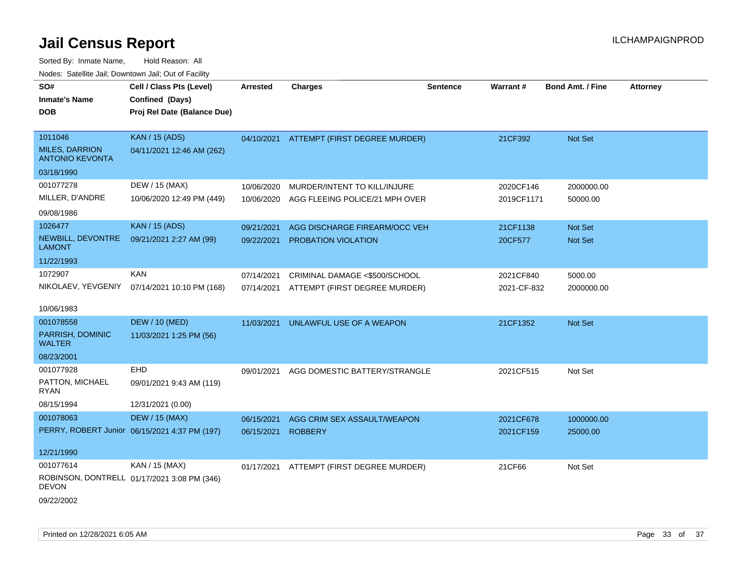| SO#<br><b>Inmate's Name</b>                     | Cell / Class Pts (Level)<br>Confined (Days)   | Arrested   | <b>Charges</b>                           | <b>Sentence</b> | Warrant#    | <b>Bond Amt. / Fine</b> | <b>Attorney</b> |
|-------------------------------------------------|-----------------------------------------------|------------|------------------------------------------|-----------------|-------------|-------------------------|-----------------|
| <b>DOB</b>                                      | Proj Rel Date (Balance Due)                   |            |                                          |                 |             |                         |                 |
| 1011046                                         | <b>KAN / 15 (ADS)</b>                         |            | 04/10/2021 ATTEMPT (FIRST DEGREE MURDER) |                 | 21CF392     | Not Set                 |                 |
| <b>MILES, DARRION</b><br><b>ANTONIO KEVONTA</b> | 04/11/2021 12:46 AM (262)                     |            |                                          |                 |             |                         |                 |
| 03/18/1990                                      |                                               |            |                                          |                 |             |                         |                 |
| 001077278                                       | DEW / 15 (MAX)                                | 10/06/2020 | MURDER/INTENT TO KILL/INJURE             |                 | 2020CF146   | 2000000.00              |                 |
| MILLER, D'ANDRE                                 | 10/06/2020 12:49 PM (449)                     | 10/06/2020 | AGG FLEEING POLICE/21 MPH OVER           |                 | 2019CF1171  | 50000.00                |                 |
| 09/08/1986                                      |                                               |            |                                          |                 |             |                         |                 |
| 1026477                                         | <b>KAN / 15 (ADS)</b>                         | 09/21/2021 | AGG DISCHARGE FIREARM/OCC VEH            |                 | 21CF1138    | Not Set                 |                 |
| NEWBILL, DEVONTRE<br><b>LAMONT</b>              | 09/21/2021 2:27 AM (99)                       | 09/22/2021 | PROBATION VIOLATION                      |                 | 20CF577     | Not Set                 |                 |
| 11/22/1993                                      |                                               |            |                                          |                 |             |                         |                 |
| 1072907                                         | <b>KAN</b>                                    | 07/14/2021 | CRIMINAL DAMAGE <\$500/SCHOOL            |                 | 2021CF840   | 5000.00                 |                 |
| NIKOLAEV, YEVGENIY                              | 07/14/2021 10:10 PM (168)                     |            | 07/14/2021 ATTEMPT (FIRST DEGREE MURDER) |                 | 2021-CF-832 | 2000000.00              |                 |
| 10/06/1983                                      |                                               |            |                                          |                 |             |                         |                 |
| 001078558                                       | <b>DEW / 10 (MED)</b>                         | 11/03/2021 | UNLAWFUL USE OF A WEAPON                 |                 | 21CF1352    | Not Set                 |                 |
| PARRISH, DOMINIC<br><b>WALTER</b>               | 11/03/2021 1:25 PM (56)                       |            |                                          |                 |             |                         |                 |
| 08/23/2001                                      |                                               |            |                                          |                 |             |                         |                 |
| 001077928                                       | EHD                                           | 09/01/2021 | AGG DOMESTIC BATTERY/STRANGLE            |                 | 2021CF515   | Not Set                 |                 |
| PATTON, MICHAEL<br><b>RYAN</b>                  | 09/01/2021 9:43 AM (119)                      |            |                                          |                 |             |                         |                 |
| 08/15/1994                                      | 12/31/2021 (0.00)                             |            |                                          |                 |             |                         |                 |
| 001078063                                       | <b>DEW / 15 (MAX)</b>                         | 06/15/2021 | AGG CRIM SEX ASSAULT/WEAPON              |                 | 2021CF678   | 1000000.00              |                 |
|                                                 | PERRY, ROBERT Junior 06/15/2021 4:37 PM (197) | 06/15/2021 | <b>ROBBERY</b>                           |                 | 2021CF159   | 25000.00                |                 |
| 12/21/1990                                      |                                               |            |                                          |                 |             |                         |                 |
| 001077614                                       | KAN / 15 (MAX)                                | 01/17/2021 | ATTEMPT (FIRST DEGREE MURDER)            |                 | 21CF66      | Not Set                 |                 |
| <b>DEVON</b>                                    | ROBINSON, DONTRELL 01/17/2021 3:08 PM (346)   |            |                                          |                 |             |                         |                 |
| 09/22/2002                                      |                                               |            |                                          |                 |             |                         |                 |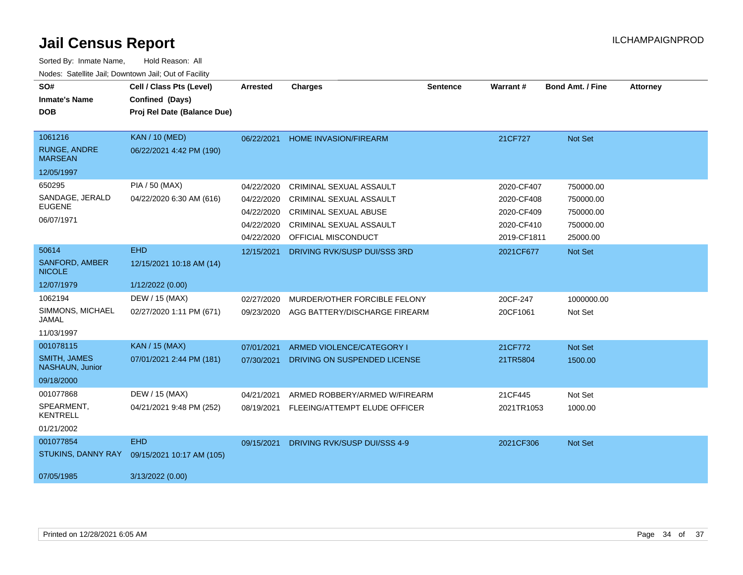| SO#                                    | Cell / Class Pts (Level)    | <b>Arrested</b> | <b>Charges</b>                   | <b>Sentence</b> | Warrant#    | <b>Bond Amt. / Fine</b> | <b>Attorney</b> |
|----------------------------------------|-----------------------------|-----------------|----------------------------------|-----------------|-------------|-------------------------|-----------------|
| <b>Inmate's Name</b>                   | Confined (Days)             |                 |                                  |                 |             |                         |                 |
| <b>DOB</b>                             | Proj Rel Date (Balance Due) |                 |                                  |                 |             |                         |                 |
|                                        |                             |                 |                                  |                 |             |                         |                 |
| 1061216                                | <b>KAN / 10 (MED)</b>       | 06/22/2021      | <b>HOME INVASION/FIREARM</b>     |                 | 21CF727     | Not Set                 |                 |
| <b>RUNGE, ANDRE</b><br><b>MARSEAN</b>  | 06/22/2021 4:42 PM (190)    |                 |                                  |                 |             |                         |                 |
| 12/05/1997                             |                             |                 |                                  |                 |             |                         |                 |
| 650295                                 | PIA / 50 (MAX)              | 04/22/2020      | CRIMINAL SEXUAL ASSAULT          |                 | 2020-CF407  | 750000.00               |                 |
| SANDAGE, JERALD                        | 04/22/2020 6:30 AM (616)    | 04/22/2020      | <b>CRIMINAL SEXUAL ASSAULT</b>   |                 | 2020-CF408  | 750000.00               |                 |
| <b>EUGENE</b>                          |                             | 04/22/2020      | <b>CRIMINAL SEXUAL ABUSE</b>     |                 | 2020-CF409  | 750000.00               |                 |
| 06/07/1971                             |                             | 04/22/2020      | <b>CRIMINAL SEXUAL ASSAULT</b>   |                 | 2020-CF410  | 750000.00               |                 |
|                                        |                             | 04/22/2020      | OFFICIAL MISCONDUCT              |                 | 2019-CF1811 | 25000.00                |                 |
| 50614                                  | <b>EHD</b>                  | 12/15/2021      | DRIVING RVK/SUSP DUI/SSS 3RD     |                 | 2021CF677   | Not Set                 |                 |
| <b>SANFORD, AMBER</b><br><b>NICOLE</b> | 12/15/2021 10:18 AM (14)    |                 |                                  |                 |             |                         |                 |
| 12/07/1979                             | 1/12/2022 (0.00)            |                 |                                  |                 |             |                         |                 |
| 1062194                                | DEW / 15 (MAX)              | 02/27/2020      | MURDER/OTHER FORCIBLE FELONY     |                 | 20CF-247    | 1000000.00              |                 |
| SIMMONS, MICHAEL<br>JAMAL              | 02/27/2020 1:11 PM (671)    | 09/23/2020      | AGG BATTERY/DISCHARGE FIREARM    |                 | 20CF1061    | Not Set                 |                 |
| 11/03/1997                             |                             |                 |                                  |                 |             |                         |                 |
| 001078115                              | <b>KAN / 15 (MAX)</b>       | 07/01/2021      | <b>ARMED VIOLENCE/CATEGORY I</b> |                 | 21CF772     | Not Set                 |                 |
| <b>SMITH, JAMES</b><br>NASHAUN, Junior | 07/01/2021 2:44 PM (181)    | 07/30/2021      | DRIVING ON SUSPENDED LICENSE     |                 | 21TR5804    | 1500.00                 |                 |
| 09/18/2000                             |                             |                 |                                  |                 |             |                         |                 |
| 001077868                              | DEW / 15 (MAX)              | 04/21/2021      | ARMED ROBBERY/ARMED W/FIREARM    |                 | 21CF445     | Not Set                 |                 |
| SPEARMENT,<br><b>KENTRELL</b>          | 04/21/2021 9:48 PM (252)    | 08/19/2021      | FLEEING/ATTEMPT ELUDE OFFICER    |                 | 2021TR1053  | 1000.00                 |                 |
| 01/21/2002                             |                             |                 |                                  |                 |             |                         |                 |
| 001077854                              | <b>EHD</b>                  | 09/15/2021      | DRIVING RVK/SUSP DUI/SSS 4-9     |                 | 2021CF306   | Not Set                 |                 |
| STUKINS, DANNY RAY                     | 09/15/2021 10:17 AM (105)   |                 |                                  |                 |             |                         |                 |
| 07/05/1985                             | 3/13/2022 (0.00)            |                 |                                  |                 |             |                         |                 |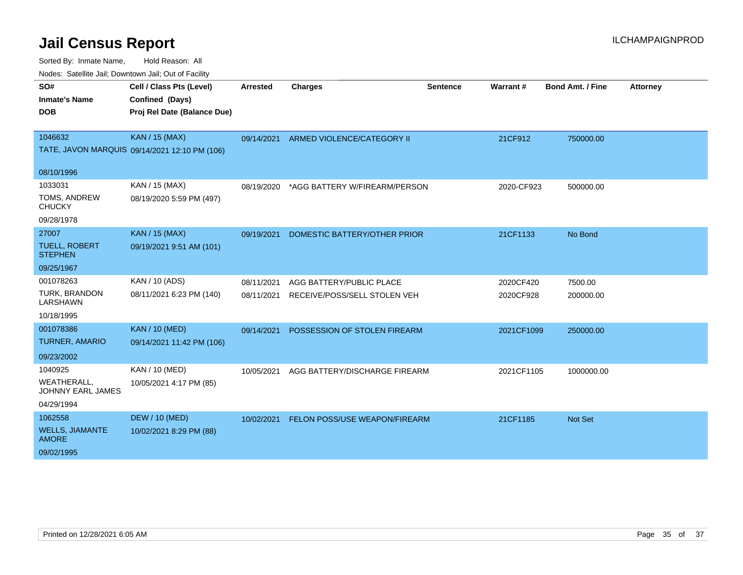| roaco. Catolino cali, Downtown cali, Out of Fability |                                               |                 |                               |                 |            |                         |                 |
|------------------------------------------------------|-----------------------------------------------|-----------------|-------------------------------|-----------------|------------|-------------------------|-----------------|
| SO#                                                  | Cell / Class Pts (Level)                      | <b>Arrested</b> | <b>Charges</b>                | <b>Sentence</b> | Warrant#   | <b>Bond Amt. / Fine</b> | <b>Attorney</b> |
| <b>Inmate's Name</b>                                 | Confined (Days)                               |                 |                               |                 |            |                         |                 |
| <b>DOB</b>                                           | Proj Rel Date (Balance Due)                   |                 |                               |                 |            |                         |                 |
|                                                      |                                               |                 |                               |                 |            |                         |                 |
| 1046632                                              | <b>KAN / 15 (MAX)</b>                         | 09/14/2021      | ARMED VIOLENCE/CATEGORY II    |                 | 21CF912    | 750000.00               |                 |
|                                                      | TATE, JAVON MARQUIS 09/14/2021 12:10 PM (106) |                 |                               |                 |            |                         |                 |
| 08/10/1996                                           |                                               |                 |                               |                 |            |                         |                 |
| 1033031                                              | KAN / 15 (MAX)                                | 08/19/2020      | *AGG BATTERY W/FIREARM/PERSON |                 | 2020-CF923 | 500000.00               |                 |
| TOMS, ANDREW<br><b>CHUCKY</b>                        | 08/19/2020 5:59 PM (497)                      |                 |                               |                 |            |                         |                 |
| 09/28/1978                                           |                                               |                 |                               |                 |            |                         |                 |
| 27007                                                | <b>KAN / 15 (MAX)</b>                         | 09/19/2021      | DOMESTIC BATTERY/OTHER PRIOR  |                 | 21CF1133   | No Bond                 |                 |
| <b>TUELL, ROBERT</b><br><b>STEPHEN</b>               | 09/19/2021 9:51 AM (101)                      |                 |                               |                 |            |                         |                 |
| 09/25/1967                                           |                                               |                 |                               |                 |            |                         |                 |
| 001078263                                            | KAN / 10 (ADS)                                | 08/11/2021      | AGG BATTERY/PUBLIC PLACE      |                 | 2020CF420  | 7500.00                 |                 |
| <b>TURK, BRANDON</b><br><b>LARSHAWN</b>              | 08/11/2021 6:23 PM (140)                      | 08/11/2021      | RECEIVE/POSS/SELL STOLEN VEH  |                 | 2020CF928  | 200000.00               |                 |
| 10/18/1995                                           |                                               |                 |                               |                 |            |                         |                 |
| 001078386                                            | <b>KAN / 10 (MED)</b>                         | 09/14/2021      | POSSESSION OF STOLEN FIREARM  |                 | 2021CF1099 | 250000.00               |                 |
| <b>TURNER, AMARIO</b>                                | 09/14/2021 11:42 PM (106)                     |                 |                               |                 |            |                         |                 |
| 09/23/2002                                           |                                               |                 |                               |                 |            |                         |                 |
| 1040925                                              | KAN / 10 (MED)                                | 10/05/2021      | AGG BATTERY/DISCHARGE FIREARM |                 | 2021CF1105 | 1000000.00              |                 |
| <b>WEATHERALL,</b><br>JOHNNY EARL JAMES              | 10/05/2021 4:17 PM (85)                       |                 |                               |                 |            |                         |                 |
| 04/29/1994                                           |                                               |                 |                               |                 |            |                         |                 |
| 1062558                                              | <b>DEW / 10 (MED)</b>                         | 10/02/2021      | FELON POSS/USE WEAPON/FIREARM |                 | 21CF1185   | <b>Not Set</b>          |                 |
| <b>WELLS, JIAMANTE</b><br><b>AMORE</b>               | 10/02/2021 8:29 PM (88)                       |                 |                               |                 |            |                         |                 |
| 09/02/1995                                           |                                               |                 |                               |                 |            |                         |                 |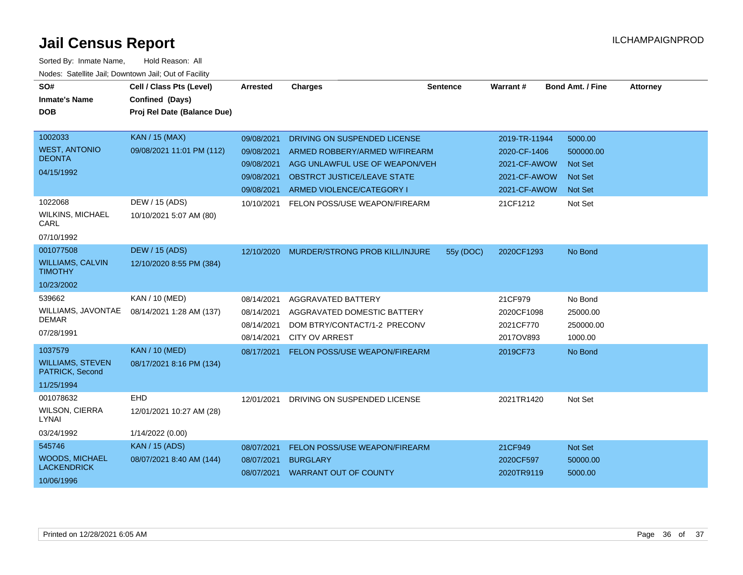| SO#                                        | Cell / Class Pts (Level)    | Arrested   | <b>Charges</b>                     | <b>Sentence</b> | Warrant#      | <b>Bond Amt. / Fine</b> | <b>Attorney</b> |
|--------------------------------------------|-----------------------------|------------|------------------------------------|-----------------|---------------|-------------------------|-----------------|
| <b>Inmate's Name</b>                       | Confined (Days)             |            |                                    |                 |               |                         |                 |
| <b>DOB</b>                                 | Proj Rel Date (Balance Due) |            |                                    |                 |               |                         |                 |
|                                            |                             |            |                                    |                 |               |                         |                 |
| 1002033                                    | <b>KAN / 15 (MAX)</b>       | 09/08/2021 | DRIVING ON SUSPENDED LICENSE       |                 | 2019-TR-11944 | 5000.00                 |                 |
| <b>WEST, ANTONIO</b>                       | 09/08/2021 11:01 PM (112)   | 09/08/2021 | ARMED ROBBERY/ARMED W/FIREARM      |                 | 2020-CF-1406  | 500000.00               |                 |
| <b>DEONTA</b>                              |                             | 09/08/2021 | AGG UNLAWFUL USE OF WEAPON/VEH     |                 | 2021-CF-AWOW  | <b>Not Set</b>          |                 |
| 04/15/1992                                 |                             | 09/08/2021 | <b>OBSTRCT JUSTICE/LEAVE STATE</b> |                 | 2021-CF-AWOW  | <b>Not Set</b>          |                 |
|                                            |                             | 09/08/2021 | ARMED VIOLENCE/CATEGORY I          |                 | 2021-CF-AWOW  | <b>Not Set</b>          |                 |
| 1022068                                    | DEW / 15 (ADS)              | 10/10/2021 | FELON POSS/USE WEAPON/FIREARM      |                 | 21CF1212      | Not Set                 |                 |
| <b>WILKINS, MICHAEL</b><br>CARL            | 10/10/2021 5:07 AM (80)     |            |                                    |                 |               |                         |                 |
| 07/10/1992                                 |                             |            |                                    |                 |               |                         |                 |
| 001077508                                  | <b>DEW / 15 (ADS)</b>       | 12/10/2020 | MURDER/STRONG PROB KILL/INJURE     | 55y (DOC)       | 2020CF1293    | No Bond                 |                 |
| <b>WILLIAMS, CALVIN</b><br><b>TIMOTHY</b>  | 12/10/2020 8:55 PM (384)    |            |                                    |                 |               |                         |                 |
| 10/23/2002                                 |                             |            |                                    |                 |               |                         |                 |
| 539662                                     | KAN / 10 (MED)              | 08/14/2021 | <b>AGGRAVATED BATTERY</b>          |                 | 21CF979       | No Bond                 |                 |
| WILLIAMS, JAVONTAE                         | 08/14/2021 1:28 AM (137)    | 08/14/2021 | AGGRAVATED DOMESTIC BATTERY        |                 | 2020CF1098    | 25000.00                |                 |
| <b>DEMAR</b>                               |                             | 08/14/2021 | DOM BTRY/CONTACT/1-2 PRECONV       |                 | 2021CF770     | 250000.00               |                 |
| 07/28/1991                                 |                             | 08/14/2021 | <b>CITY OV ARREST</b>              |                 | 2017OV893     | 1000.00                 |                 |
| 1037579                                    | <b>KAN / 10 (MED)</b>       | 08/17/2021 | FELON POSS/USE WEAPON/FIREARM      |                 | 2019CF73      | No Bond                 |                 |
| <b>WILLIAMS, STEVEN</b><br>PATRICK, Second | 08/17/2021 8:16 PM (134)    |            |                                    |                 |               |                         |                 |
| 11/25/1994                                 |                             |            |                                    |                 |               |                         |                 |
| 001078632                                  | <b>EHD</b>                  | 12/01/2021 | DRIVING ON SUSPENDED LICENSE       |                 | 2021TR1420    | Not Set                 |                 |
| <b>WILSON, CIERRA</b><br>LYNAI             | 12/01/2021 10:27 AM (28)    |            |                                    |                 |               |                         |                 |
| 03/24/1992                                 | 1/14/2022 (0.00)            |            |                                    |                 |               |                         |                 |
| 545746                                     | <b>KAN / 15 (ADS)</b>       | 08/07/2021 | FELON POSS/USE WEAPON/FIREARM      |                 | 21CF949       | Not Set                 |                 |
| <b>WOODS, MICHAEL</b>                      | 08/07/2021 8:40 AM (144)    | 08/07/2021 | <b>BURGLARY</b>                    |                 | 2020CF597     | 50000.00                |                 |
| <b>LACKENDRICK</b>                         |                             | 08/07/2021 | <b>WARRANT OUT OF COUNTY</b>       |                 | 2020TR9119    | 5000.00                 |                 |
| 10/06/1996                                 |                             |            |                                    |                 |               |                         |                 |